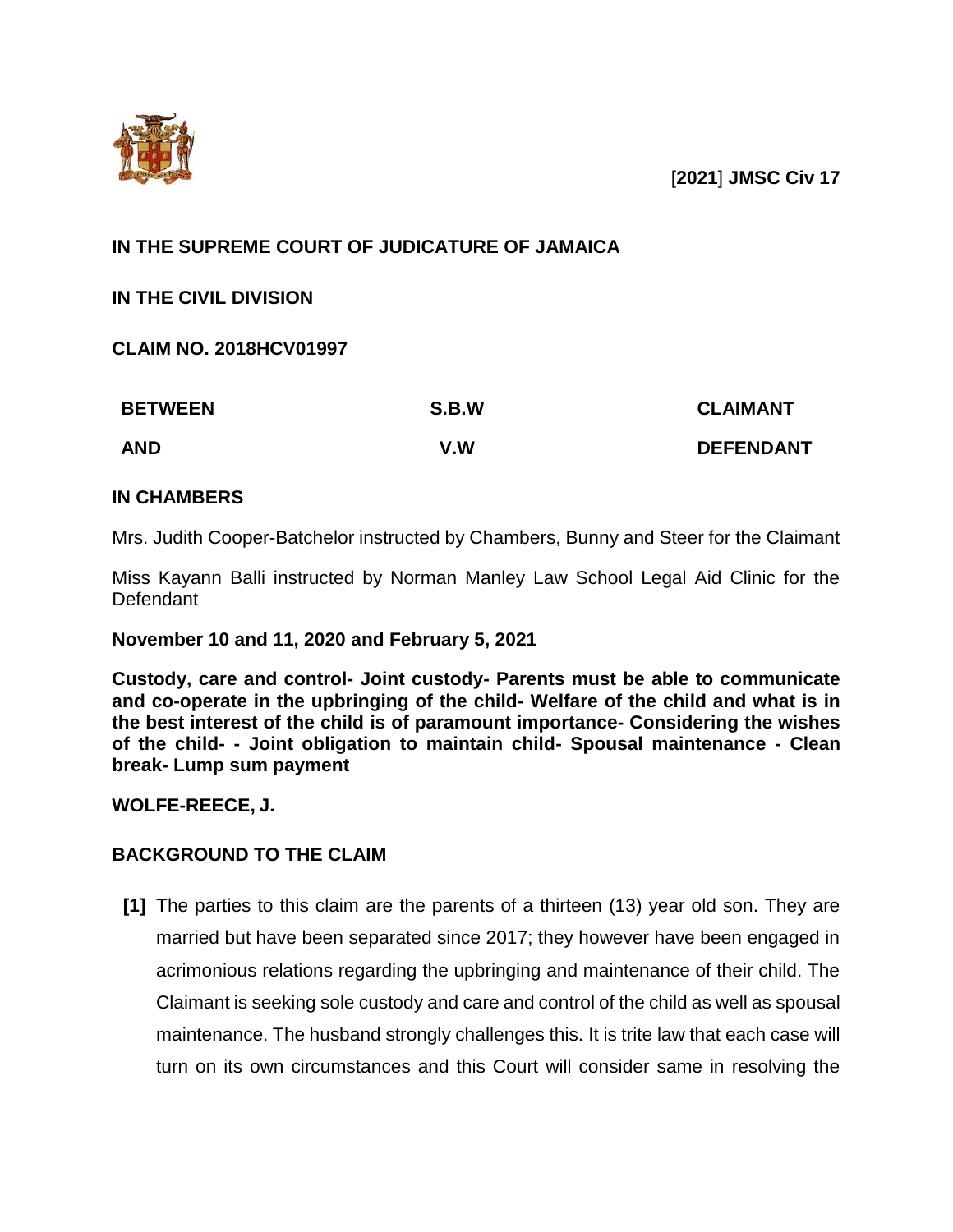

# **IN THE SUPREME COURT OF JUDICATURE OF JAMAICA**

**IN THE CIVIL DIVISION**

**CLAIM NO. 2018HCV01997**

| <b>BETWEEN</b> | S.B.W | <b>CLAIMANT</b>  |
|----------------|-------|------------------|
| <b>AND</b>     | V.W   | <b>DEFENDANT</b> |

# **IN CHAMBERS**

Mrs. Judith Cooper-Batchelor instructed by Chambers, Bunny and Steer for the Claimant

Miss Kayann Balli instructed by Norman Manley Law School Legal Aid Clinic for the **Defendant** 

# **November 10 and 11, 2020 and February 5, 2021**

**Custody, care and control- Joint custody- Parents must be able to communicate and co-operate in the upbringing of the child- Welfare of the child and what is in the best interest of the child is of paramount importance- Considering the wishes of the child- - Joint obligation to maintain child- Spousal maintenance - Clean break- Lump sum payment**

**WOLFE-REECE, J.**

# **BACKGROUND TO THE CLAIM**

**[1]** The parties to this claim are the parents of a thirteen (13) year old son. They are married but have been separated since 2017; they however have been engaged in acrimonious relations regarding the upbringing and maintenance of their child. The Claimant is seeking sole custody and care and control of the child as well as spousal maintenance. The husband strongly challenges this. It is trite law that each case will turn on its own circumstances and this Court will consider same in resolving the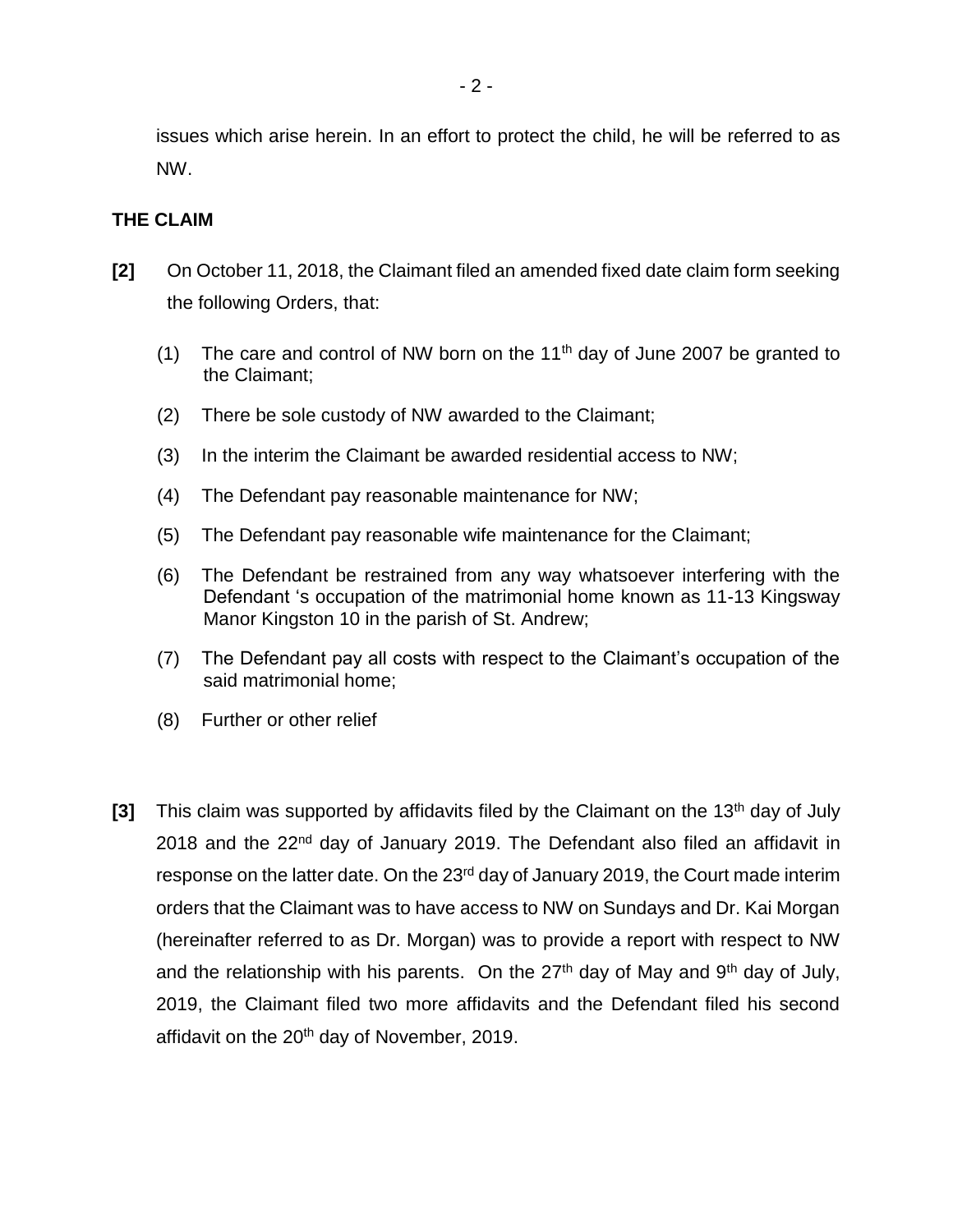issues which arise herein. In an effort to protect the child, he will be referred to as NW.

### **THE CLAIM**

- **[2]** On October 11, 2018, the Claimant filed an amended fixed date claim form seeking the following Orders, that:
	- (1) The care and control of NW born on the  $11<sup>th</sup>$  day of June 2007 be granted to the Claimant;
	- (2) There be sole custody of NW awarded to the Claimant;
	- (3) In the interim the Claimant be awarded residential access to NW;
	- (4) The Defendant pay reasonable maintenance for NW;
	- (5) The Defendant pay reasonable wife maintenance for the Claimant;
	- (6) The Defendant be restrained from any way whatsoever interfering with the Defendant 's occupation of the matrimonial home known as 11-13 Kingsway Manor Kingston 10 in the parish of St. Andrew;
	- (7) The Defendant pay all costs with respect to the Claimant's occupation of the said matrimonial home;
	- (8) Further or other relief
- **[3]** This claim was supported by affidavits filed by the Claimant on the 13<sup>th</sup> day of July 2018 and the 22<sup>nd</sup> day of January 2019. The Defendant also filed an affidavit in response on the latter date. On the 23<sup>rd</sup> day of January 2019, the Court made interim orders that the Claimant was to have access to NW on Sundays and Dr. Kai Morgan (hereinafter referred to as Dr. Morgan) was to provide a report with respect to NW and the relationship with his parents. On the  $27<sup>th</sup>$  day of May and  $9<sup>th</sup>$  day of July, 2019, the Claimant filed two more affidavits and the Defendant filed his second affidavit on the 20<sup>th</sup> day of November, 2019.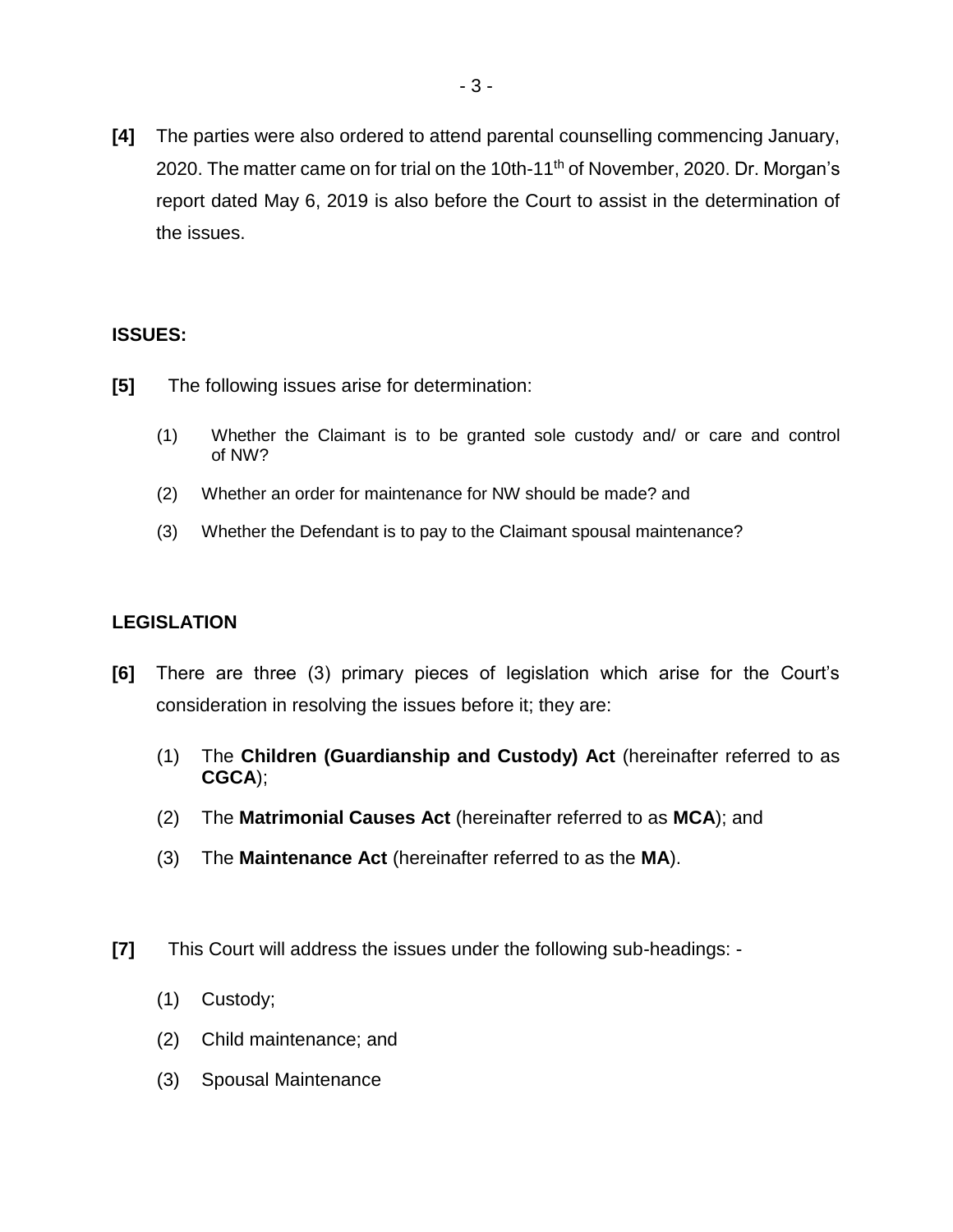**[4]** The parties were also ordered to attend parental counselling commencing January, 2020. The matter came on for trial on the 10th-11<sup>th</sup> of November, 2020. Dr. Morgan's report dated May 6, 2019 is also before the Court to assist in the determination of the issues.

# **ISSUES:**

- **[5]** The following issues arise for determination:
	- (1) Whether the Claimant is to be granted sole custody and/ or care and control of NW?
	- (2) Whether an order for maintenance for NW should be made? and
	- (3) Whether the Defendant is to pay to the Claimant spousal maintenance?

# **LEGISLATION**

- **[6]** There are three (3) primary pieces of legislation which arise for the Court's consideration in resolving the issues before it; they are:
	- (1) The **Children (Guardianship and Custody) Act** (hereinafter referred to as **CGCA**);
	- (2) The **Matrimonial Causes Act** (hereinafter referred to as **MCA**); and
	- (3) The **Maintenance Act** (hereinafter referred to as the **MA**).
- **[7]** This Court will address the issues under the following sub-headings:
	- (1) Custody;
	- (2) Child maintenance; and
	- (3) Spousal Maintenance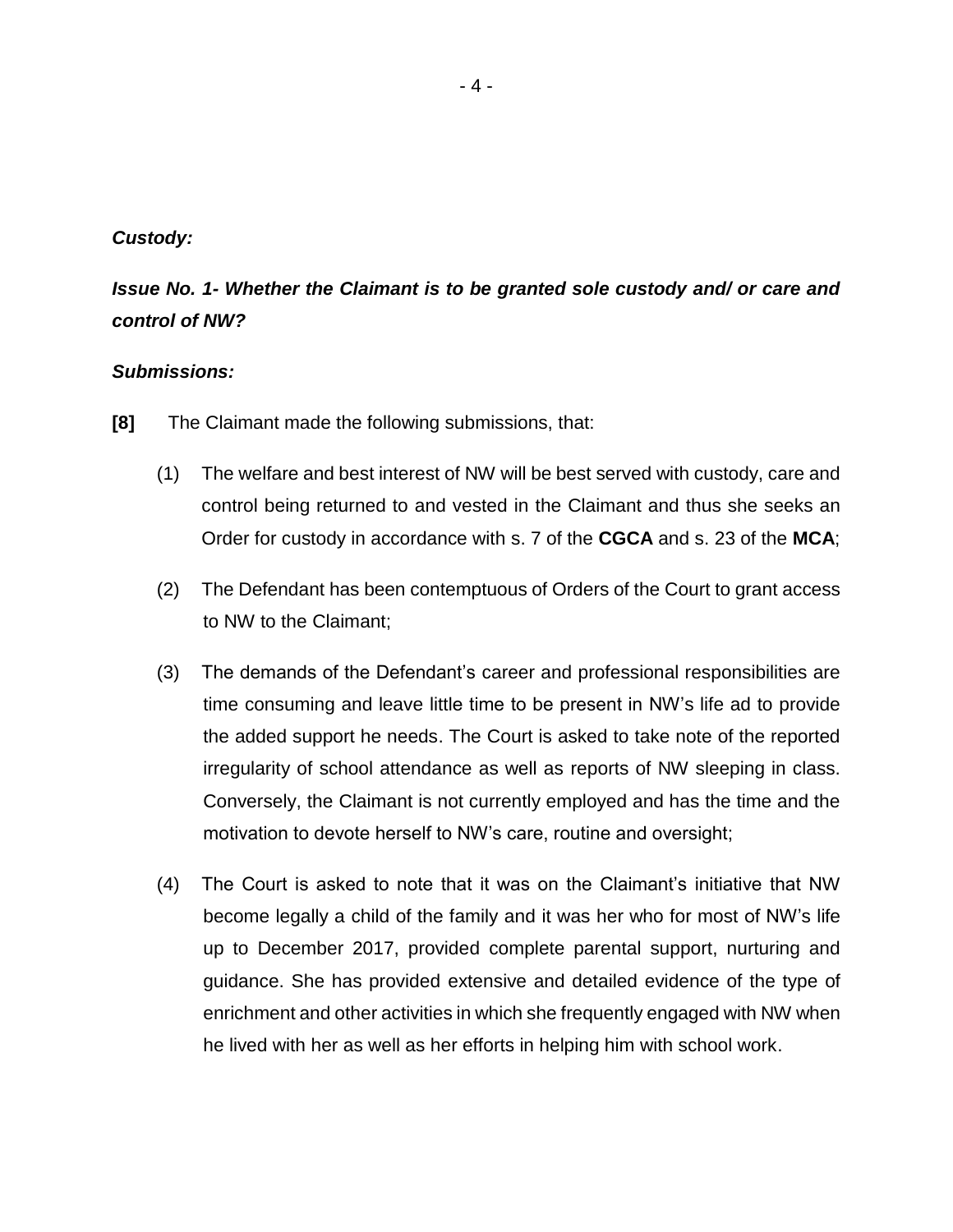### *Custody:*

# *Issue No. 1- Whether the Claimant is to be granted sole custody and/ or care and control of NW?*

# *Submissions:*

- **[8]** The Claimant made the following submissions, that:
	- (1) The welfare and best interest of NW will be best served with custody, care and control being returned to and vested in the Claimant and thus she seeks an Order for custody in accordance with s. 7 of the **CGCA** and s. 23 of the **MCA**;
	- (2) The Defendant has been contemptuous of Orders of the Court to grant access to NW to the Claimant;
	- (3) The demands of the Defendant's career and professional responsibilities are time consuming and leave little time to be present in NW's life ad to provide the added support he needs. The Court is asked to take note of the reported irregularity of school attendance as well as reports of NW sleeping in class. Conversely, the Claimant is not currently employed and has the time and the motivation to devote herself to NW's care, routine and oversight;
	- (4) The Court is asked to note that it was on the Claimant's initiative that NW become legally a child of the family and it was her who for most of NW's life up to December 2017, provided complete parental support, nurturing and guidance. She has provided extensive and detailed evidence of the type of enrichment and other activities in which she frequently engaged with NW when he lived with her as well as her efforts in helping him with school work.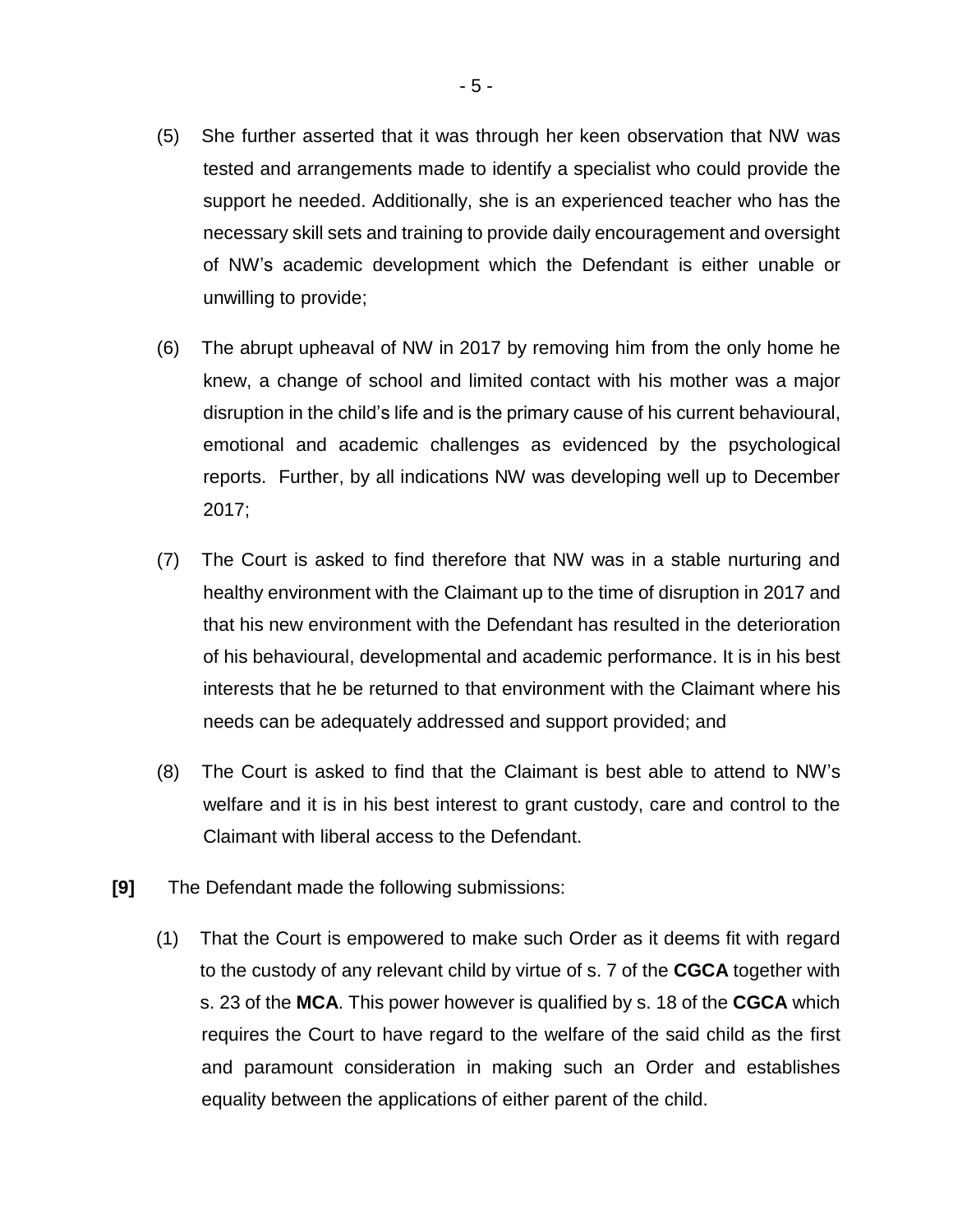- (5) She further asserted that it was through her keen observation that NW was tested and arrangements made to identify a specialist who could provide the support he needed. Additionally, she is an experienced teacher who has the necessary skill sets and training to provide daily encouragement and oversight of NW's academic development which the Defendant is either unable or unwilling to provide;
- (6) The abrupt upheaval of NW in 2017 by removing him from the only home he knew, a change of school and limited contact with his mother was a major disruption in the child's life and is the primary cause of his current behavioural, emotional and academic challenges as evidenced by the psychological reports. Further, by all indications NW was developing well up to December 2017;
- (7) The Court is asked to find therefore that NW was in a stable nurturing and healthy environment with the Claimant up to the time of disruption in 2017 and that his new environment with the Defendant has resulted in the deterioration of his behavioural, developmental and academic performance. It is in his best interests that he be returned to that environment with the Claimant where his needs can be adequately addressed and support provided; and
- (8) The Court is asked to find that the Claimant is best able to attend to NW's welfare and it is in his best interest to grant custody, care and control to the Claimant with liberal access to the Defendant.
- **[9]** The Defendant made the following submissions:
	- (1) That the Court is empowered to make such Order as it deems fit with regard to the custody of any relevant child by virtue of s. 7 of the **CGCA** together with s. 23 of the **MCA**. This power however is qualified by s. 18 of the **CGCA** which requires the Court to have regard to the welfare of the said child as the first and paramount consideration in making such an Order and establishes equality between the applications of either parent of the child.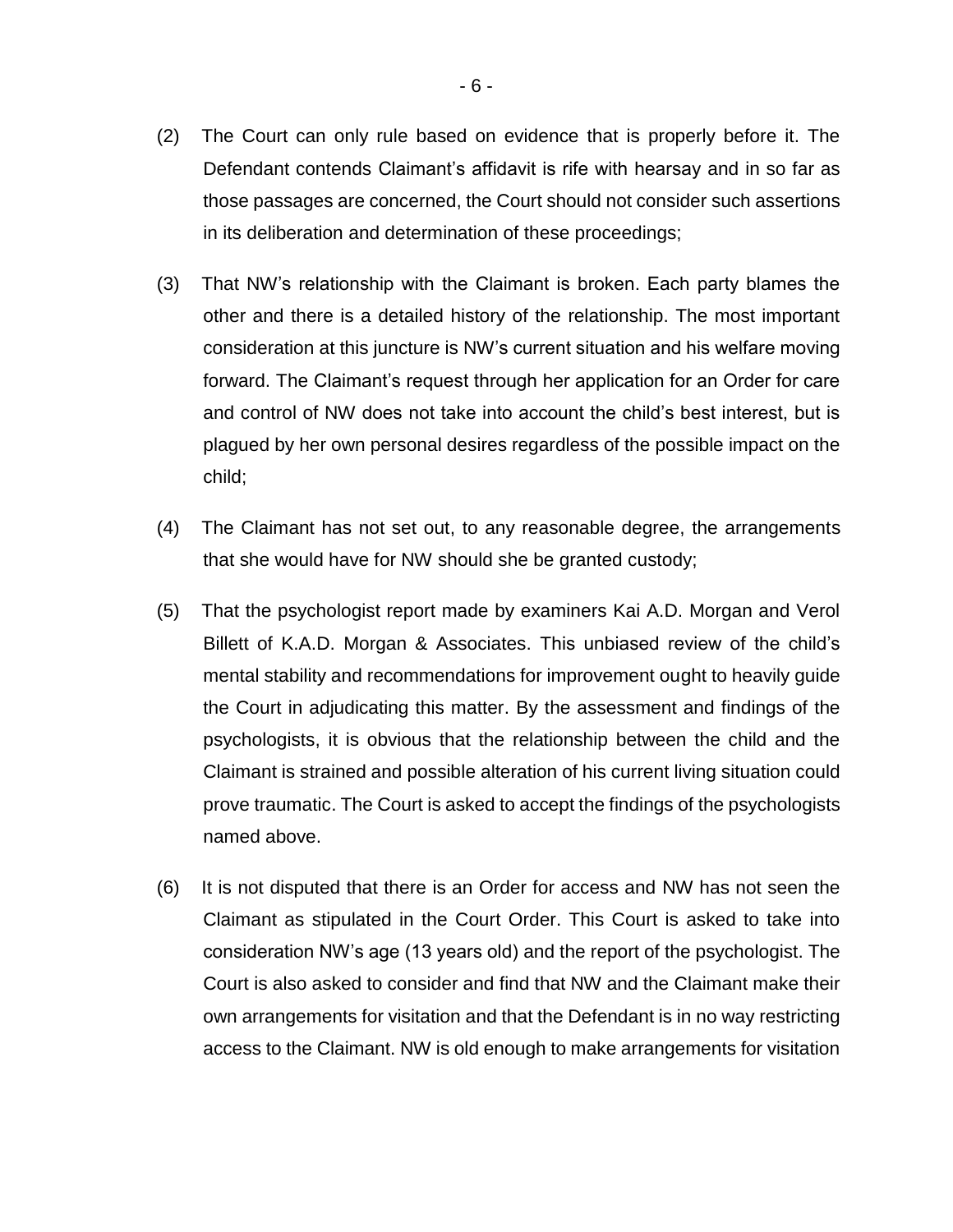- (2) The Court can only rule based on evidence that is properly before it. The Defendant contends Claimant's affidavit is rife with hearsay and in so far as those passages are concerned, the Court should not consider such assertions in its deliberation and determination of these proceedings;
- (3) That NW's relationship with the Claimant is broken. Each party blames the other and there is a detailed history of the relationship. The most important consideration at this juncture is NW's current situation and his welfare moving forward. The Claimant's request through her application for an Order for care and control of NW does not take into account the child's best interest, but is plagued by her own personal desires regardless of the possible impact on the child;
- (4) The Claimant has not set out, to any reasonable degree, the arrangements that she would have for NW should she be granted custody;
- (5) That the psychologist report made by examiners Kai A.D. Morgan and Verol Billett of K.A.D. Morgan & Associates. This unbiased review of the child's mental stability and recommendations for improvement ought to heavily guide the Court in adjudicating this matter. By the assessment and findings of the psychologists, it is obvious that the relationship between the child and the Claimant is strained and possible alteration of his current living situation could prove traumatic. The Court is asked to accept the findings of the psychologists named above.
- (6) It is not disputed that there is an Order for access and NW has not seen the Claimant as stipulated in the Court Order. This Court is asked to take into consideration NW's age (13 years old) and the report of the psychologist. The Court is also asked to consider and find that NW and the Claimant make their own arrangements for visitation and that the Defendant is in no way restricting access to the Claimant. NW is old enough to make arrangements for visitation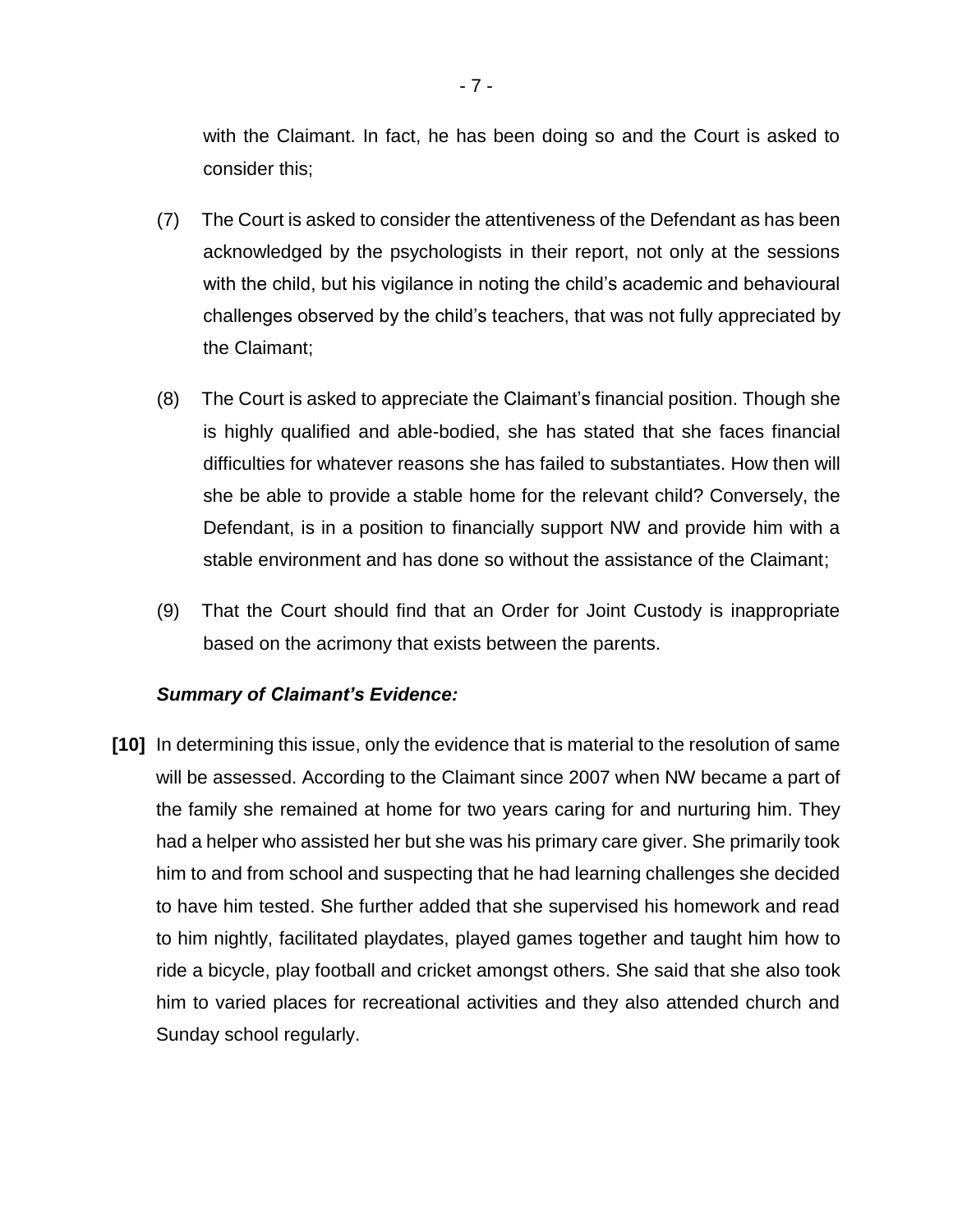with the Claimant. In fact, he has been doing so and the Court is asked to consider this;

- (7) The Court is asked to consider the attentiveness of the Defendant as has been acknowledged by the psychologists in their report, not only at the sessions with the child, but his vigilance in noting the child's academic and behavioural challenges observed by the child's teachers, that was not fully appreciated by the Claimant;
- (8) The Court is asked to appreciate the Claimant's financial position. Though she is highly qualified and able-bodied, she has stated that she faces financial difficulties for whatever reasons she has failed to substantiates. How then will she be able to provide a stable home for the relevant child? Conversely, the Defendant, is in a position to financially support NW and provide him with a stable environment and has done so without the assistance of the Claimant;
- (9) That the Court should find that an Order for Joint Custody is inappropriate based on the acrimony that exists between the parents.

#### *Summary of Claimant's Evidence:*

**[10]** In determining this issue, only the evidence that is material to the resolution of same will be assessed. According to the Claimant since 2007 when NW became a part of the family she remained at home for two years caring for and nurturing him. They had a helper who assisted her but she was his primary care giver. She primarily took him to and from school and suspecting that he had learning challenges she decided to have him tested. She further added that she supervised his homework and read to him nightly, facilitated playdates, played games together and taught him how to ride a bicycle, play football and cricket amongst others. She said that she also took him to varied places for recreational activities and they also attended church and Sunday school regularly.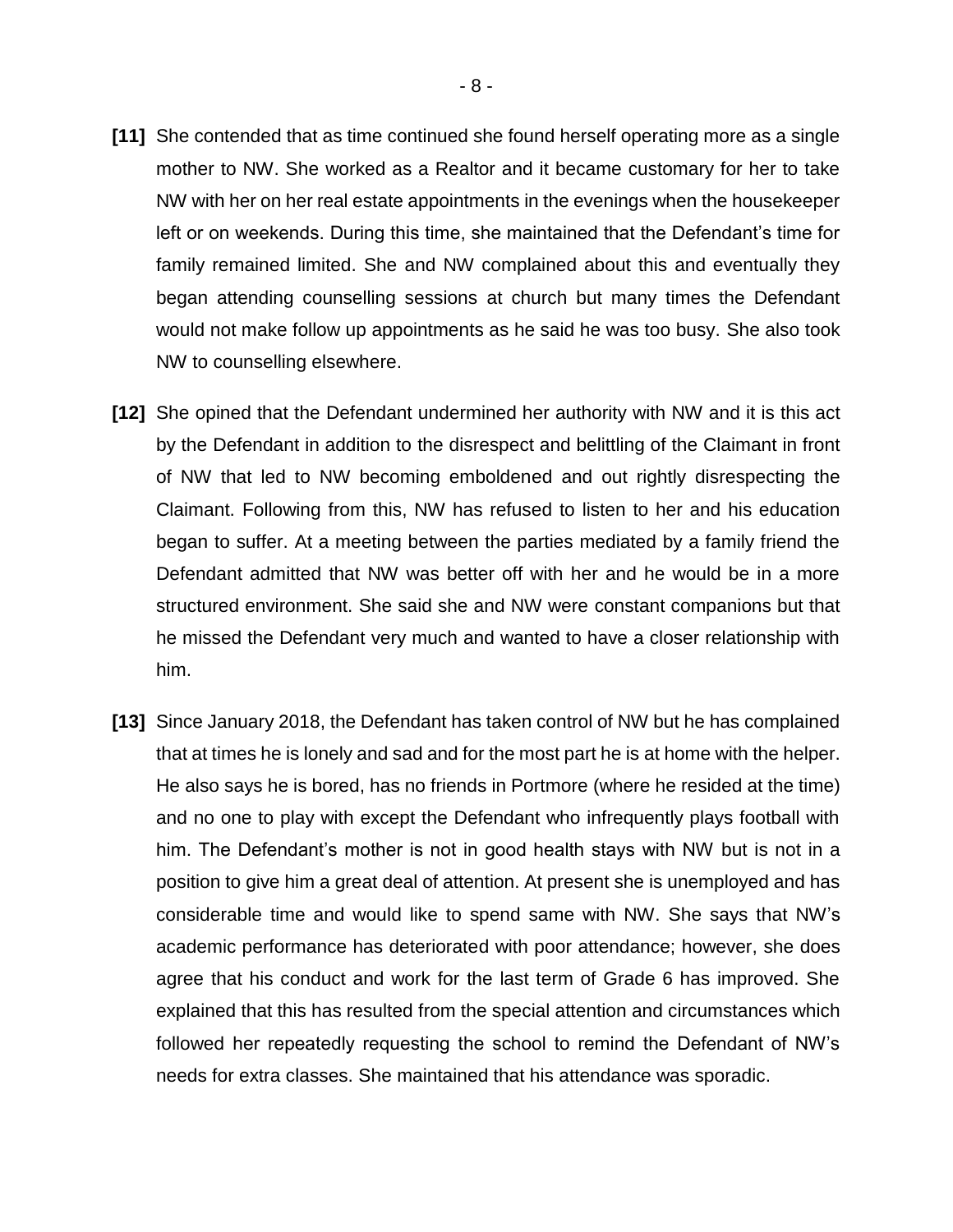- **[11]** She contended that as time continued she found herself operating more as a single mother to NW. She worked as a Realtor and it became customary for her to take NW with her on her real estate appointments in the evenings when the housekeeper left or on weekends. During this time, she maintained that the Defendant's time for family remained limited. She and NW complained about this and eventually they began attending counselling sessions at church but many times the Defendant would not make follow up appointments as he said he was too busy. She also took NW to counselling elsewhere.
- **[12]** She opined that the Defendant undermined her authority with NW and it is this act by the Defendant in addition to the disrespect and belittling of the Claimant in front of NW that led to NW becoming emboldened and out rightly disrespecting the Claimant. Following from this, NW has refused to listen to her and his education began to suffer. At a meeting between the parties mediated by a family friend the Defendant admitted that NW was better off with her and he would be in a more structured environment. She said she and NW were constant companions but that he missed the Defendant very much and wanted to have a closer relationship with him.
- **[13]** Since January 2018, the Defendant has taken control of NW but he has complained that at times he is lonely and sad and for the most part he is at home with the helper. He also says he is bored, has no friends in Portmore (where he resided at the time) and no one to play with except the Defendant who infrequently plays football with him. The Defendant's mother is not in good health stays with NW but is not in a position to give him a great deal of attention. At present she is unemployed and has considerable time and would like to spend same with NW. She says that NW's academic performance has deteriorated with poor attendance; however, she does agree that his conduct and work for the last term of Grade 6 has improved. She explained that this has resulted from the special attention and circumstances which followed her repeatedly requesting the school to remind the Defendant of NW's needs for extra classes. She maintained that his attendance was sporadic.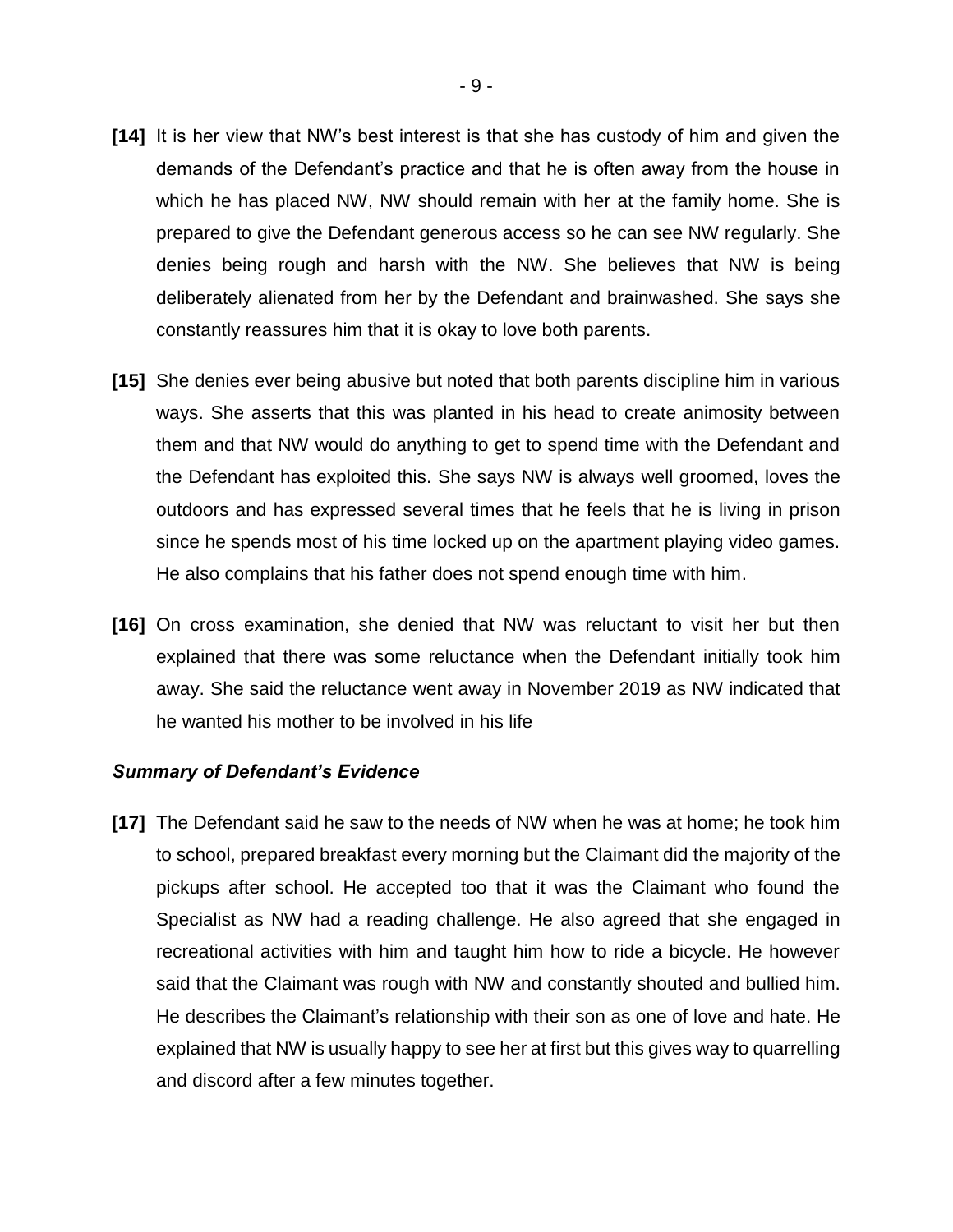- **[14]** It is her view that NW's best interest is that she has custody of him and given the demands of the Defendant's practice and that he is often away from the house in which he has placed NW, NW should remain with her at the family home. She is prepared to give the Defendant generous access so he can see NW regularly. She denies being rough and harsh with the NW. She believes that NW is being deliberately alienated from her by the Defendant and brainwashed. She says she constantly reassures him that it is okay to love both parents.
- **[15]** She denies ever being abusive but noted that both parents discipline him in various ways. She asserts that this was planted in his head to create animosity between them and that NW would do anything to get to spend time with the Defendant and the Defendant has exploited this. She says NW is always well groomed, loves the outdoors and has expressed several times that he feels that he is living in prison since he spends most of his time locked up on the apartment playing video games. He also complains that his father does not spend enough time with him.
- **[16]** On cross examination, she denied that NW was reluctant to visit her but then explained that there was some reluctance when the Defendant initially took him away. She said the reluctance went away in November 2019 as NW indicated that he wanted his mother to be involved in his life

#### *Summary of Defendant's Evidence*

**[17]** The Defendant said he saw to the needs of NW when he was at home; he took him to school, prepared breakfast every morning but the Claimant did the majority of the pickups after school. He accepted too that it was the Claimant who found the Specialist as NW had a reading challenge. He also agreed that she engaged in recreational activities with him and taught him how to ride a bicycle. He however said that the Claimant was rough with NW and constantly shouted and bullied him. He describes the Claimant's relationship with their son as one of love and hate. He explained that NW is usually happy to see her at first but this gives way to quarrelling and discord after a few minutes together.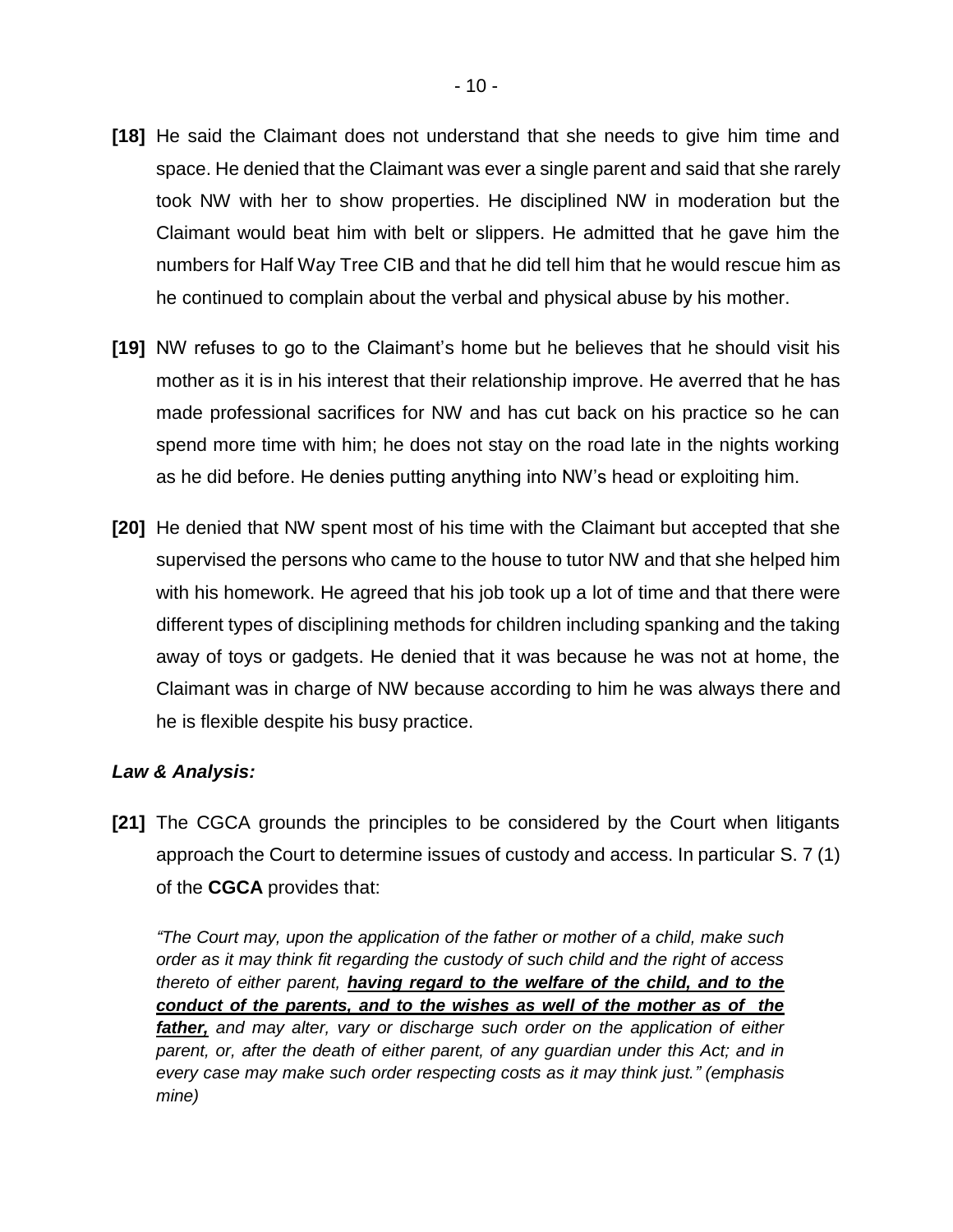- **[18]** He said the Claimant does not understand that she needs to give him time and space. He denied that the Claimant was ever a single parent and said that she rarely took NW with her to show properties. He disciplined NW in moderation but the Claimant would beat him with belt or slippers. He admitted that he gave him the numbers for Half Way Tree CIB and that he did tell him that he would rescue him as he continued to complain about the verbal and physical abuse by his mother.
- **[19]** NW refuses to go to the Claimant's home but he believes that he should visit his mother as it is in his interest that their relationship improve. He averred that he has made professional sacrifices for NW and has cut back on his practice so he can spend more time with him; he does not stay on the road late in the nights working as he did before. He denies putting anything into NW's head or exploiting him.
- **[20]** He denied that NW spent most of his time with the Claimant but accepted that she supervised the persons who came to the house to tutor NW and that she helped him with his homework. He agreed that his job took up a lot of time and that there were different types of disciplining methods for children including spanking and the taking away of toys or gadgets. He denied that it was because he was not at home, the Claimant was in charge of NW because according to him he was always there and he is flexible despite his busy practice.

# *Law & Analysis:*

**[21]** The CGCA grounds the principles to be considered by the Court when litigants approach the Court to determine issues of custody and access. In particular S. 7 (1) of the **CGCA** provides that:

*"The Court may, upon the application of the father or mother of a child, make such order as it may think fit regarding the custody of such child and the right of access thereto of either parent, having regard to the welfare of the child, and to the conduct of the parents, and to the wishes as well of the mother as of the father, and may alter, vary or discharge such order on the application of either parent, or, after the death of either parent, of any guardian under this Act; and in every case may make such order respecting costs as it may think just." (emphasis mine)*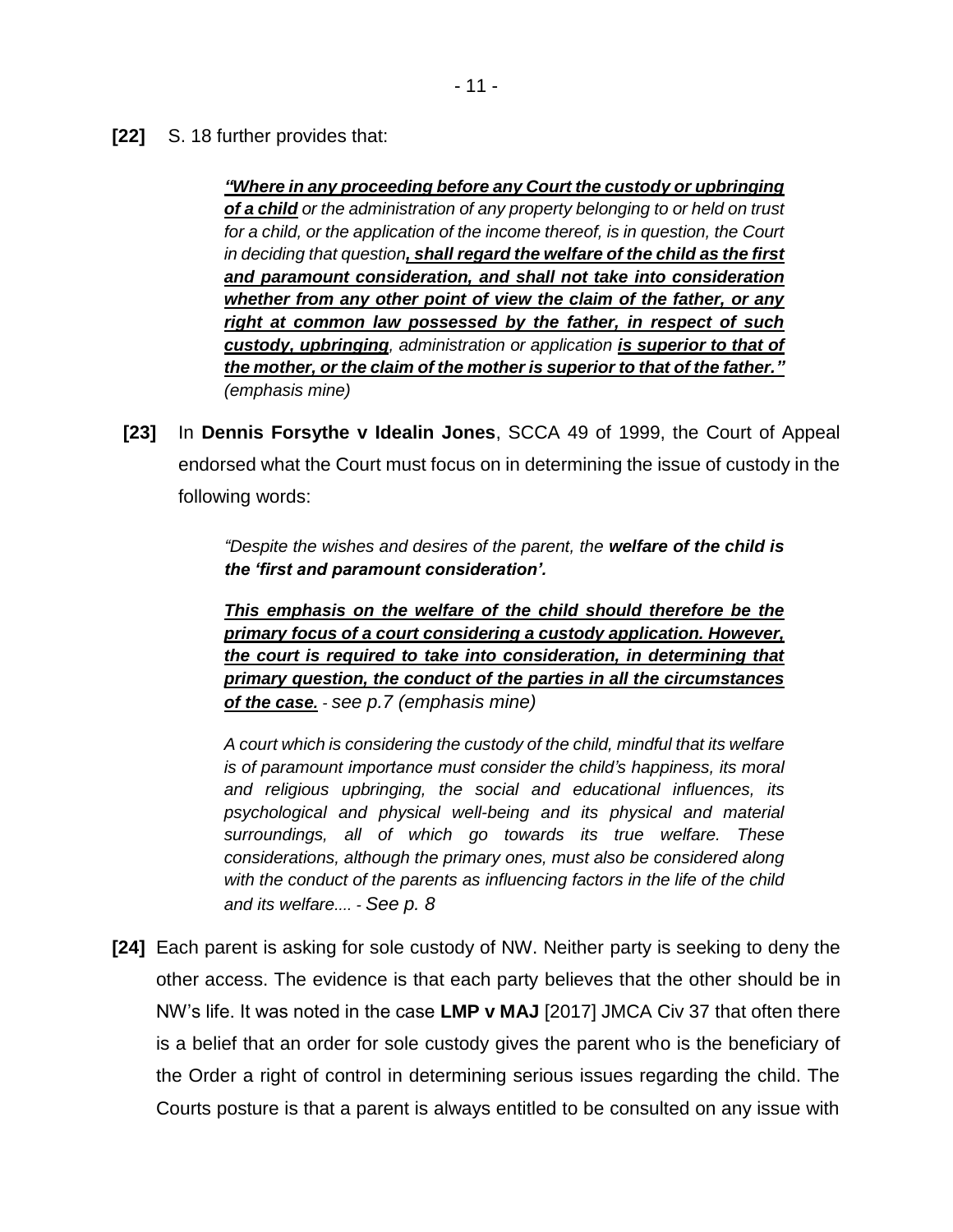**[22]** S. 18 further provides that:

*"Where in any proceeding before any Court the custody or upbringing of a child or the administration of any property belonging to or held on trust for a child, or the application of the income thereof, is in question, the Court in deciding that question, shall regard the welfare of the child as the first and paramount consideration, and shall not take into consideration whether from any other point of view the claim of the father, or any right at common law possessed by the father, in respect of such custody, upbringing, administration or application is superior to that of the mother, or the claim of the mother is superior to that of the father." (emphasis mine)*

**[23]** In **Dennis Forsythe v Idealin Jones**, SCCA 49 of 1999, the Court of Appeal endorsed what the Court must focus on in determining the issue of custody in the following words:

> *"Despite the wishes and desires of the parent, the welfare of the child is the 'first and paramount consideration'.*

> *This emphasis on the welfare of the child should therefore be the primary focus of a court considering a custody application. However, the court is required to take into consideration, in determining that primary question, the conduct of the parties in all the circumstances of the case. - see p.7 (emphasis mine)*

> *A court which is considering the custody of the child, mindful that its welfare is of paramount importance must consider the child's happiness, its moral and religious upbringing, the social and educational influences, its psychological and physical well-being and its physical and material surroundings, all of which go towards its true welfare. These considerations, although the primary ones, must also be considered along with the conduct of the parents as influencing factors in the life of the child and its welfare.... - See p. 8*

**[24]** Each parent is asking for sole custody of NW. Neither party is seeking to deny the other access. The evidence is that each party believes that the other should be in NW's life. It was noted in the case **LMP v MAJ** [2017] JMCA Civ 37 that often there is a belief that an order for sole custody gives the parent who is the beneficiary of the Order a right of control in determining serious issues regarding the child. The Courts posture is that a parent is always entitled to be consulted on any issue with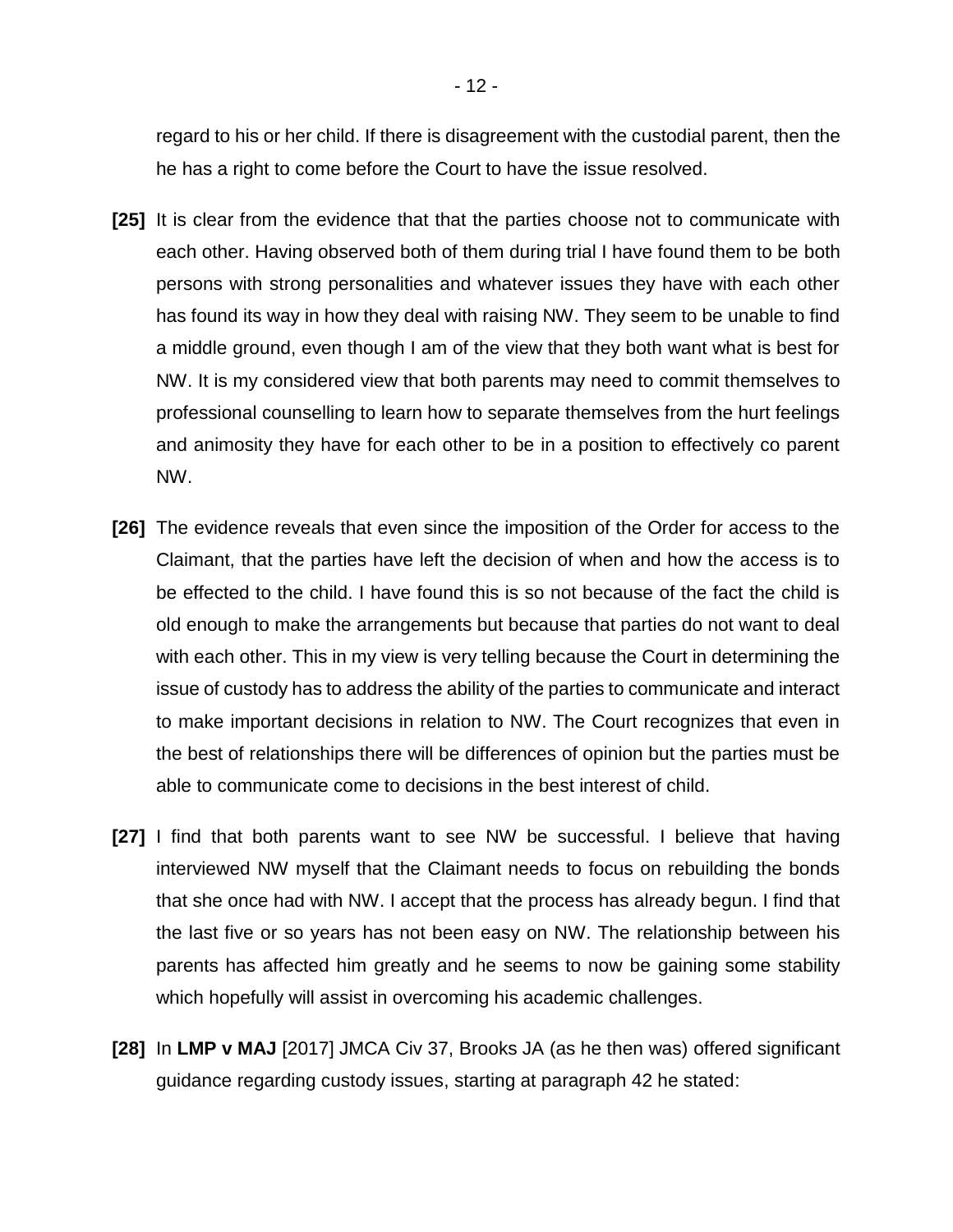regard to his or her child. If there is disagreement with the custodial parent, then the he has a right to come before the Court to have the issue resolved.

- **[25]** It is clear from the evidence that that the parties choose not to communicate with each other. Having observed both of them during trial I have found them to be both persons with strong personalities and whatever issues they have with each other has found its way in how they deal with raising NW. They seem to be unable to find a middle ground, even though I am of the view that they both want what is best for NW. It is my considered view that both parents may need to commit themselves to professional counselling to learn how to separate themselves from the hurt feelings and animosity they have for each other to be in a position to effectively co parent NW.
- **[26]** The evidence reveals that even since the imposition of the Order for access to the Claimant, that the parties have left the decision of when and how the access is to be effected to the child. I have found this is so not because of the fact the child is old enough to make the arrangements but because that parties do not want to deal with each other. This in my view is very telling because the Court in determining the issue of custody has to address the ability of the parties to communicate and interact to make important decisions in relation to NW. The Court recognizes that even in the best of relationships there will be differences of opinion but the parties must be able to communicate come to decisions in the best interest of child.
- **[27]** I find that both parents want to see NW be successful. I believe that having interviewed NW myself that the Claimant needs to focus on rebuilding the bonds that she once had with NW. I accept that the process has already begun. I find that the last five or so years has not been easy on NW. The relationship between his parents has affected him greatly and he seems to now be gaining some stability which hopefully will assist in overcoming his academic challenges.
- **[28]** In **LMP v MAJ** [2017] JMCA Civ 37, Brooks JA (as he then was) offered significant guidance regarding custody issues, starting at paragraph 42 he stated: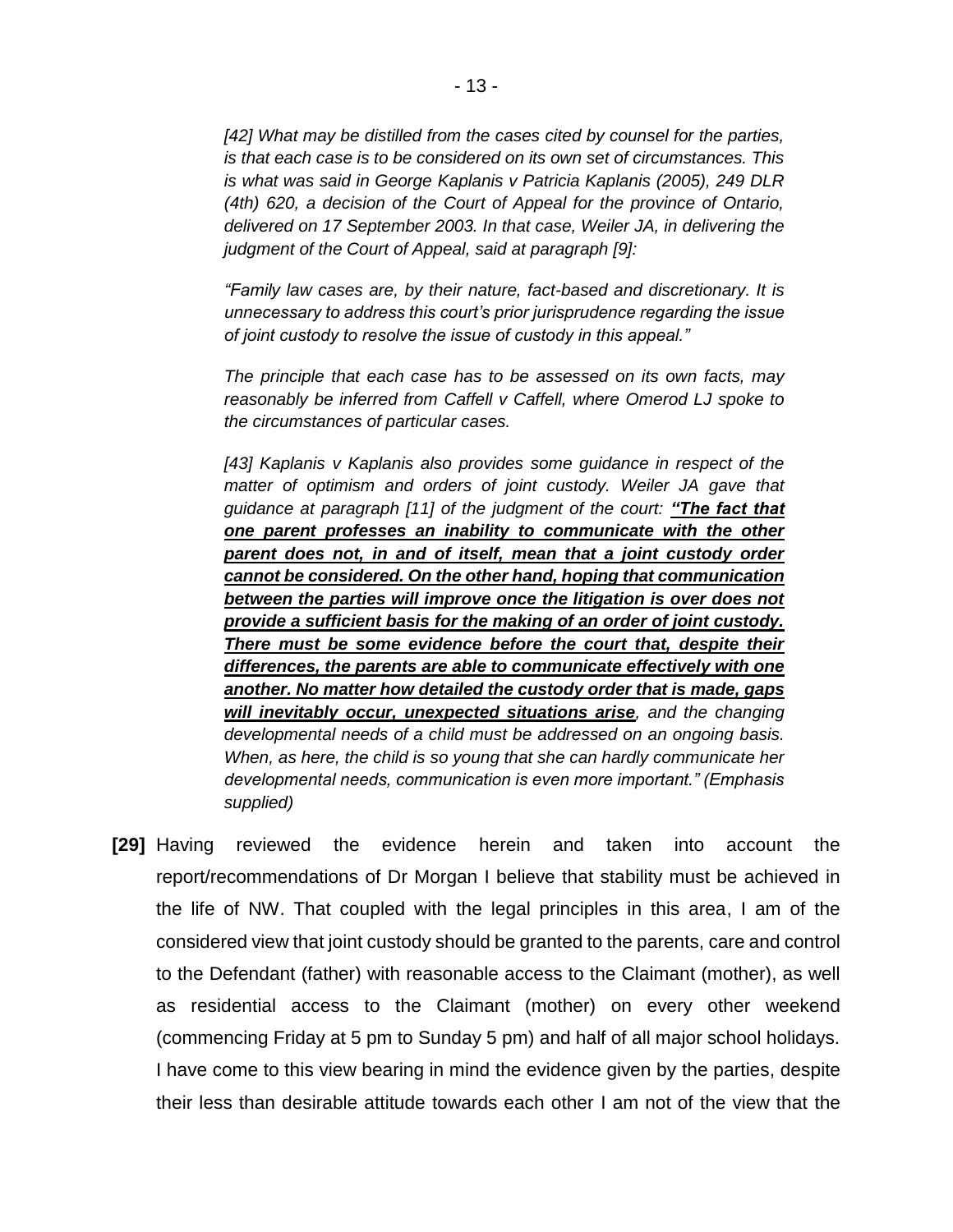*[42] What may be distilled from the cases cited by counsel for the parties, is that each case is to be considered on its own set of circumstances. This is what was said in George Kaplanis v Patricia Kaplanis (2005), 249 DLR (4th) 620, a decision of the Court of Appeal for the province of Ontario, delivered on 17 September 2003. In that case, Weiler JA, in delivering the judgment of the Court of Appeal, said at paragraph [9]:*

*"Family law cases are, by their nature, fact-based and discretionary. It is unnecessary to address this court's prior jurisprudence regarding the issue of joint custody to resolve the issue of custody in this appeal."*

*The principle that each case has to be assessed on its own facts, may reasonably be inferred from Caffell v Caffell, where Omerod LJ spoke to the circumstances of particular cases.*

*[43] Kaplanis v Kaplanis also provides some guidance in respect of the matter of optimism and orders of joint custody. Weiler JA gave that guidance at paragraph [11] of the judgment of the court: "The fact that one parent professes an inability to communicate with the other parent does not, in and of itself, mean that a joint custody order cannot be considered. On the other hand, hoping that communication between the parties will improve once the litigation is over does not provide a sufficient basis for the making of an order of joint custody. There must be some evidence before the court that, despite their differences, the parents are able to communicate effectively with one another. No matter how detailed the custody order that is made, gaps will inevitably occur, unexpected situations arise, and the changing developmental needs of a child must be addressed on an ongoing basis. When, as here, the child is so young that she can hardly communicate her developmental needs, communication is even more important." (Emphasis supplied)*

**[29]** Having reviewed the evidence herein and taken into account the report/recommendations of Dr Morgan I believe that stability must be achieved in the life of NW. That coupled with the legal principles in this area, I am of the considered view that joint custody should be granted to the parents, care and control to the Defendant (father) with reasonable access to the Claimant (mother), as well as residential access to the Claimant (mother) on every other weekend (commencing Friday at 5 pm to Sunday 5 pm) and half of all major school holidays. I have come to this view bearing in mind the evidence given by the parties, despite their less than desirable attitude towards each other I am not of the view that the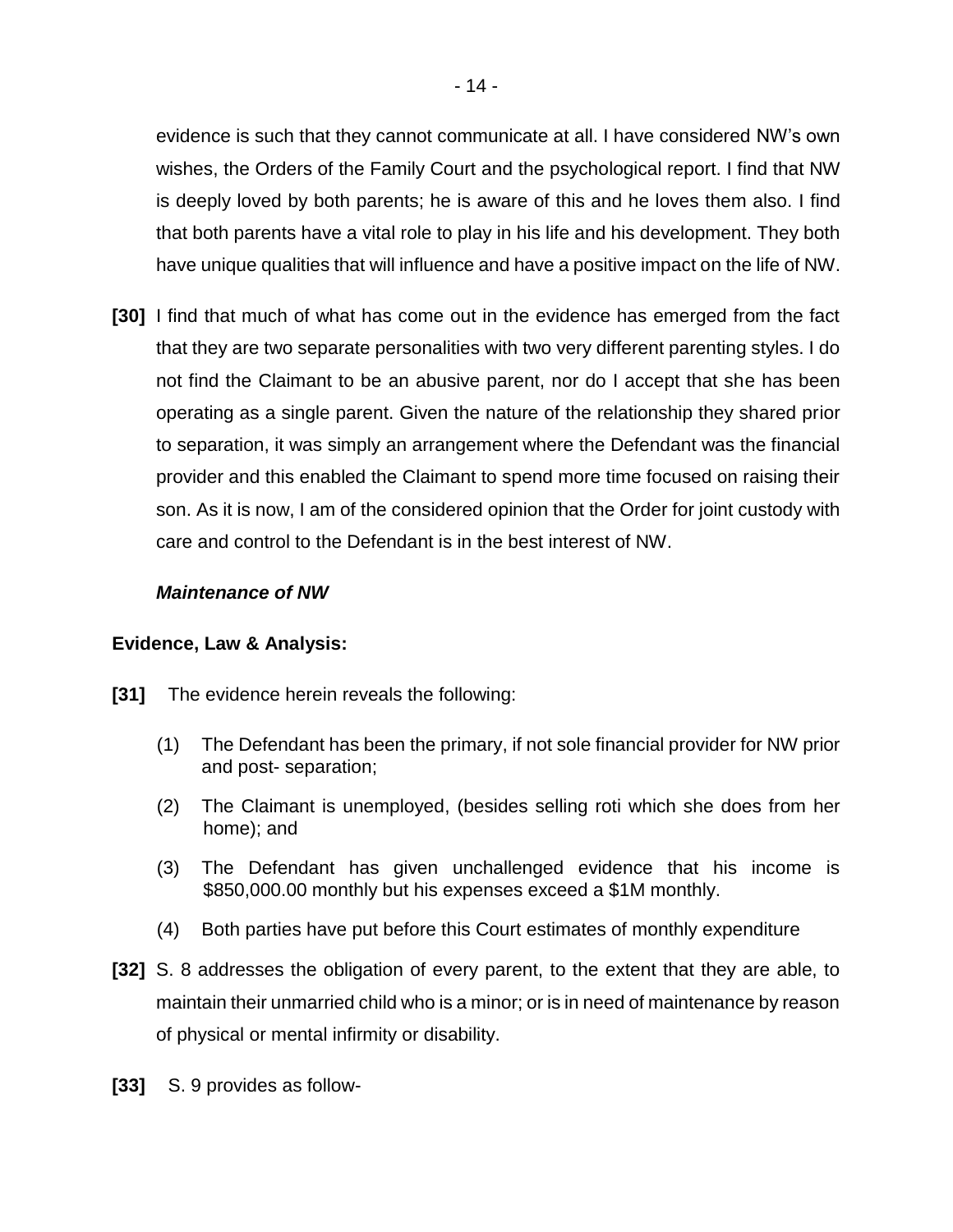evidence is such that they cannot communicate at all. I have considered NW's own wishes, the Orders of the Family Court and the psychological report. I find that NW is deeply loved by both parents; he is aware of this and he loves them also. I find that both parents have a vital role to play in his life and his development. They both have unique qualities that will influence and have a positive impact on the life of NW.

**[30]** I find that much of what has come out in the evidence has emerged from the fact that they are two separate personalities with two very different parenting styles. I do not find the Claimant to be an abusive parent, nor do I accept that she has been operating as a single parent. Given the nature of the relationship they shared prior to separation, it was simply an arrangement where the Defendant was the financial provider and this enabled the Claimant to spend more time focused on raising their son. As it is now, I am of the considered opinion that the Order for joint custody with care and control to the Defendant is in the best interest of NW.

# *Maintenance of NW*

# **Evidence, Law & Analysis:**

- **[31]** The evidence herein reveals the following:
	- (1) The Defendant has been the primary, if not sole financial provider for NW prior and post- separation;
	- (2) The Claimant is unemployed, (besides selling roti which she does from her home); and
	- (3) The Defendant has given unchallenged evidence that his income is \$850,000.00 monthly but his expenses exceed a \$1M monthly.
	- (4) Both parties have put before this Court estimates of monthly expenditure
- **[32]** S. 8 addresses the obligation of every parent, to the extent that they are able, to maintain their unmarried child who is a minor; or is in need of maintenance by reason of physical or mental infirmity or disability.
- **[33]** S. 9 provides as follow-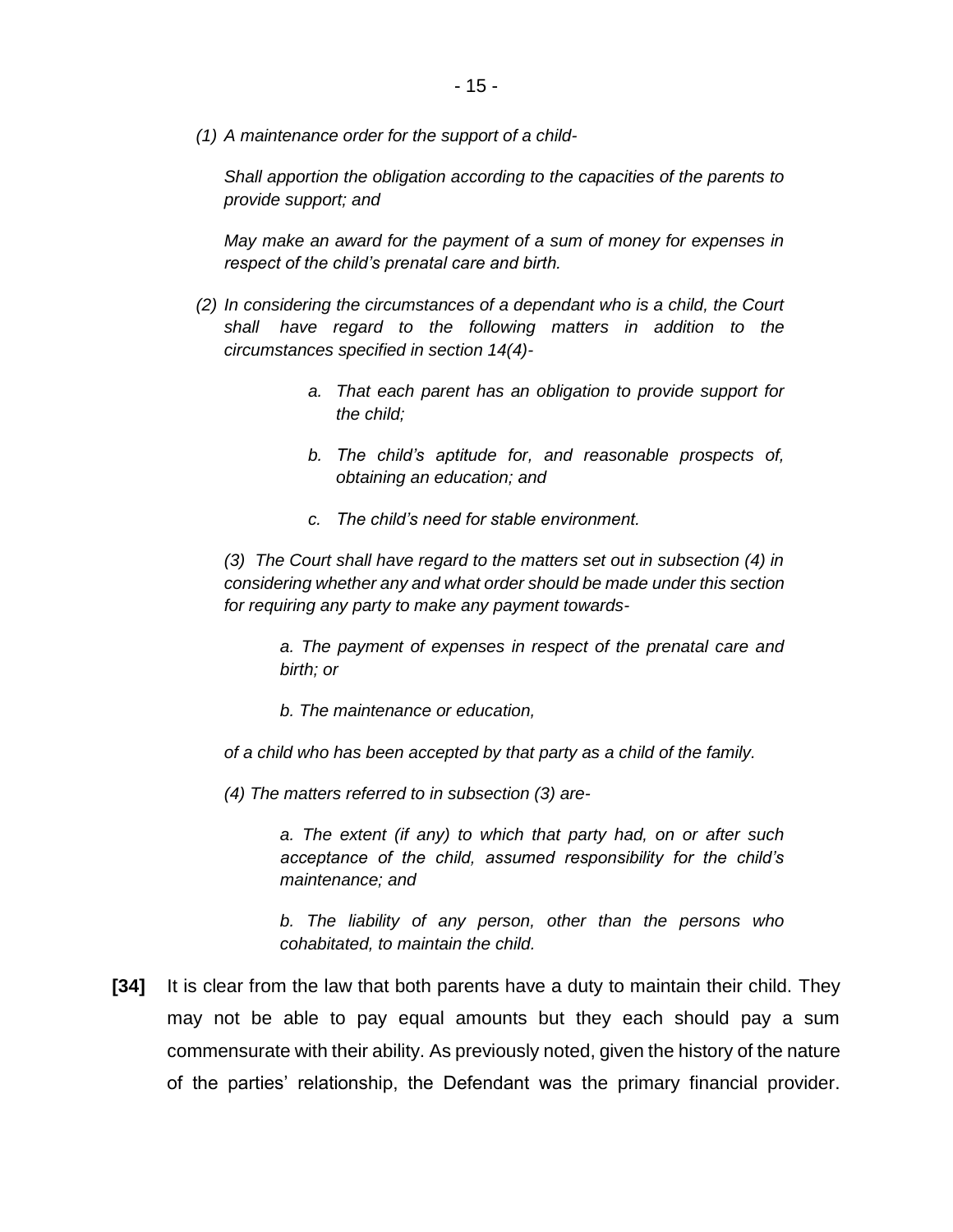*(1) A maintenance order for the support of a child-*

*Shall apportion the obligation according to the capacities of the parents to provide support; and*

*May make an award for the payment of a sum of money for expenses in respect of the child's prenatal care and birth.*

- *(2) In considering the circumstances of a dependant who is a child, the Court shall have regard to the following matters in addition to the circumstances specified in section 14(4)*
	- *a. That each parent has an obligation to provide support for the child;*
	- *b. The child's aptitude for, and reasonable prospects of, obtaining an education; and*
	- *c. The child's need for stable environment.*

*(3) The Court shall have regard to the matters set out in subsection (4) in considering whether any and what order should be made under this section for requiring any party to make any payment towards-*

*a. The payment of expenses in respect of the prenatal care and birth; or*

*b. The maintenance or education,*

*of a child who has been accepted by that party as a child of the family.*

*(4) The matters referred to in subsection (3) are-*

*a. The extent (if any) to which that party had, on or after such acceptance of the child, assumed responsibility for the child's maintenance; and*

*b. The liability of any person, other than the persons who cohabitated, to maintain the child.*

**[34]** It is clear from the law that both parents have a duty to maintain their child. They may not be able to pay equal amounts but they each should pay a sum commensurate with their ability. As previously noted, given the history of the nature of the parties' relationship, the Defendant was the primary financial provider.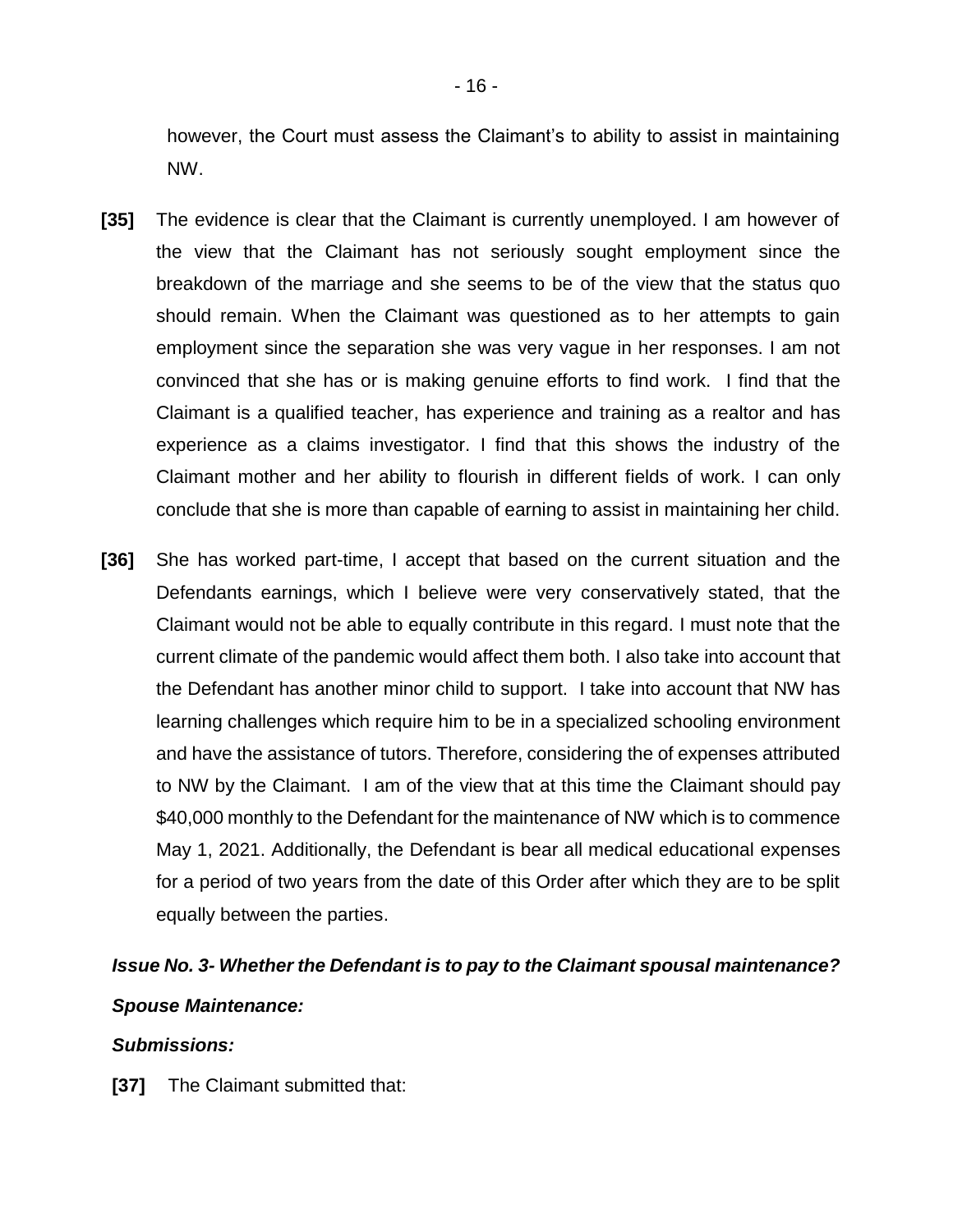however, the Court must assess the Claimant's to ability to assist in maintaining NW.

- **[35]** The evidence is clear that the Claimant is currently unemployed. I am however of the view that the Claimant has not seriously sought employment since the breakdown of the marriage and she seems to be of the view that the status quo should remain. When the Claimant was questioned as to her attempts to gain employment since the separation she was very vague in her responses. I am not convinced that she has or is making genuine efforts to find work. I find that the Claimant is a qualified teacher, has experience and training as a realtor and has experience as a claims investigator. I find that this shows the industry of the Claimant mother and her ability to flourish in different fields of work. I can only conclude that she is more than capable of earning to assist in maintaining her child.
- **[36]** She has worked part-time, I accept that based on the current situation and the Defendants earnings, which I believe were very conservatively stated, that the Claimant would not be able to equally contribute in this regard. I must note that the current climate of the pandemic would affect them both. I also take into account that the Defendant has another minor child to support. I take into account that NW has learning challenges which require him to be in a specialized schooling environment and have the assistance of tutors. Therefore, considering the of expenses attributed to NW by the Claimant. I am of the view that at this time the Claimant should pay \$40,000 monthly to the Defendant for the maintenance of NW which is to commence May 1, 2021. Additionally, the Defendant is bear all medical educational expenses for a period of two years from the date of this Order after which they are to be split equally between the parties.

# *Issue No. 3- Whether the Defendant is to pay to the Claimant spousal maintenance? Spouse Maintenance:*

# *Submissions:*

**[37]** The Claimant submitted that: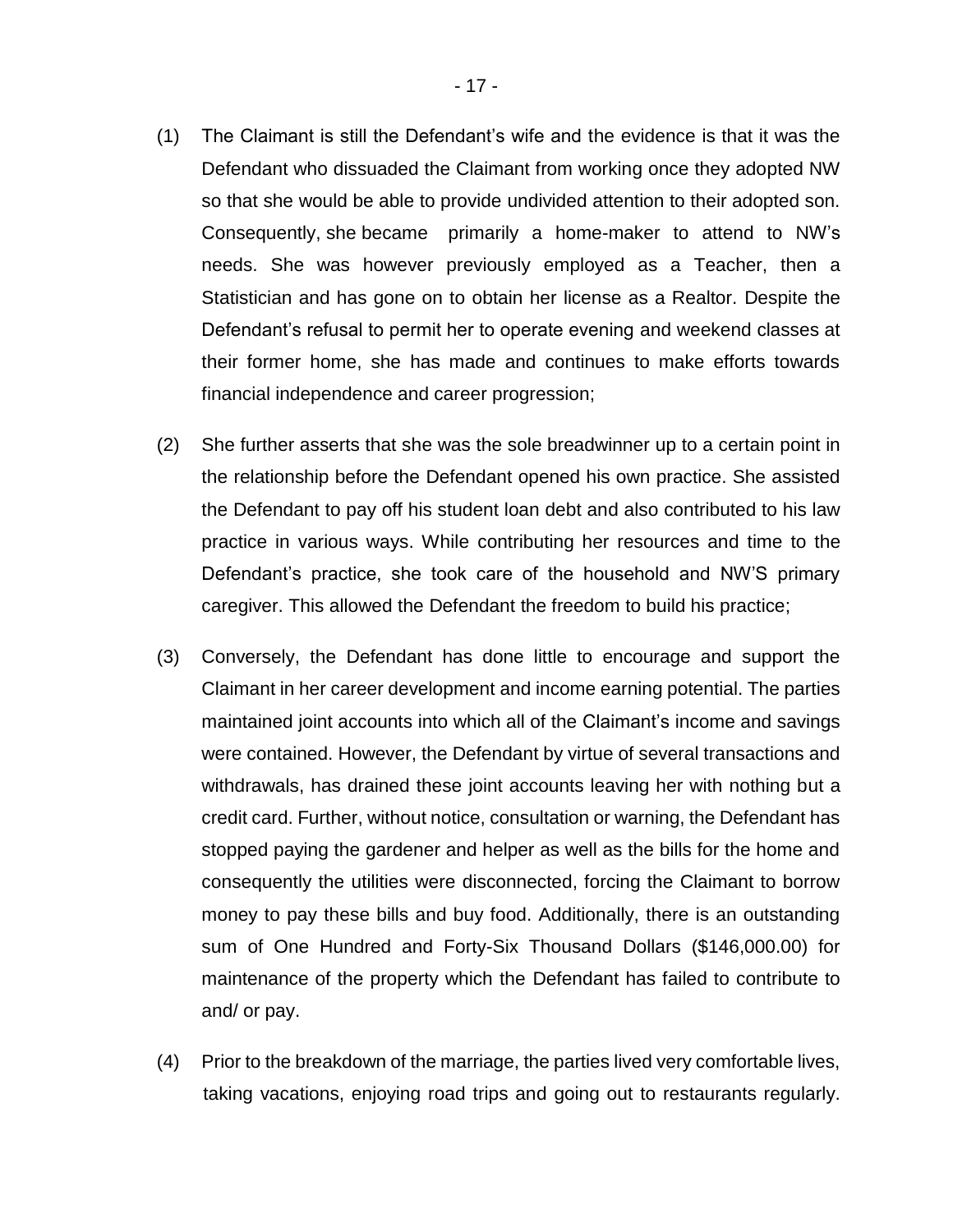- (1) The Claimant is still the Defendant's wife and the evidence is that it was the Defendant who dissuaded the Claimant from working once they adopted NW so that she would be able to provide undivided attention to their adopted son. Consequently, she became primarily a home-maker to attend to NW's needs. She was however previously employed as a Teacher, then a Statistician and has gone on to obtain her license as a Realtor. Despite the Defendant's refusal to permit her to operate evening and weekend classes at their former home, she has made and continues to make efforts towards financial independence and career progression;
- (2) She further asserts that she was the sole breadwinner up to a certain point in the relationship before the Defendant opened his own practice. She assisted the Defendant to pay off his student loan debt and also contributed to his law practice in various ways. While contributing her resources and time to the Defendant's practice, she took care of the household and NW'S primary caregiver. This allowed the Defendant the freedom to build his practice;
- (3) Conversely, the Defendant has done little to encourage and support the Claimant in her career development and income earning potential. The parties maintained joint accounts into which all of the Claimant's income and savings were contained. However, the Defendant by virtue of several transactions and withdrawals, has drained these joint accounts leaving her with nothing but a credit card. Further, without notice, consultation or warning, the Defendant has stopped paying the gardener and helper as well as the bills for the home and consequently the utilities were disconnected, forcing the Claimant to borrow money to pay these bills and buy food. Additionally, there is an outstanding sum of One Hundred and Forty-Six Thousand Dollars (\$146,000.00) for maintenance of the property which the Defendant has failed to contribute to and/ or pay.
- (4) Prior to the breakdown of the marriage, the parties lived very comfortable lives, taking vacations, enjoying road trips and going out to restaurants regularly.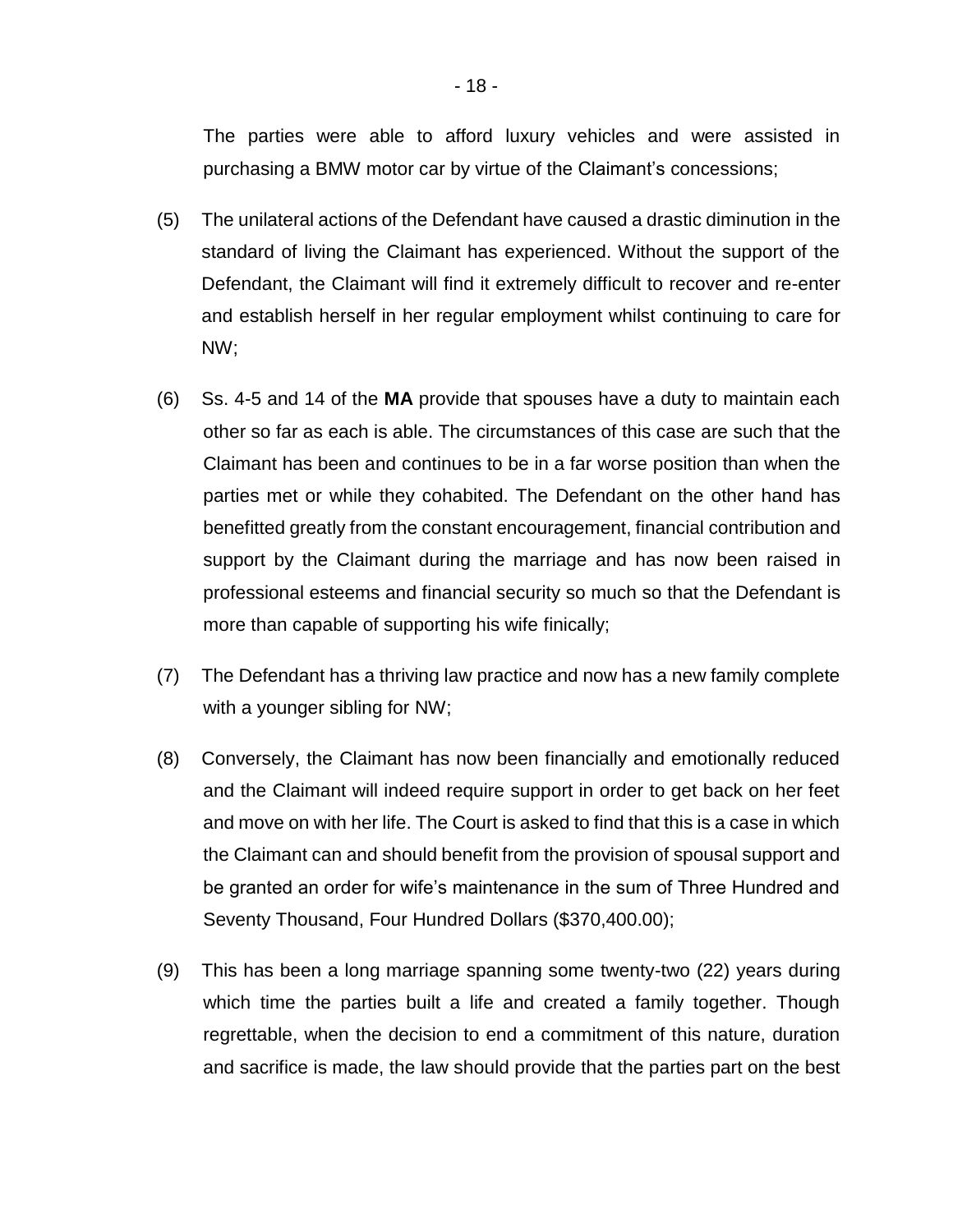The parties were able to afford luxury vehicles and were assisted in purchasing a BMW motor car by virtue of the Claimant's concessions;

- (5) The unilateral actions of the Defendant have caused a drastic diminution in the standard of living the Claimant has experienced. Without the support of the Defendant, the Claimant will find it extremely difficult to recover and re-enter and establish herself in her regular employment whilst continuing to care for NW;
- (6) Ss. 4-5 and 14 of the **MA** provide that spouses have a duty to maintain each other so far as each is able. The circumstances of this case are such that the Claimant has been and continues to be in a far worse position than when the parties met or while they cohabited. The Defendant on the other hand has benefitted greatly from the constant encouragement, financial contribution and support by the Claimant during the marriage and has now been raised in professional esteems and financial security so much so that the Defendant is more than capable of supporting his wife finically;
- (7) The Defendant has a thriving law practice and now has a new family complete with a younger sibling for NW;
- (8) Conversely, the Claimant has now been financially and emotionally reduced and the Claimant will indeed require support in order to get back on her feet and move on with her life. The Court is asked to find that this is a case in which the Claimant can and should benefit from the provision of spousal support and be granted an order for wife's maintenance in the sum of Three Hundred and Seventy Thousand, Four Hundred Dollars (\$370,400.00);
- (9) This has been a long marriage spanning some twenty-two (22) years during which time the parties built a life and created a family together. Though regrettable, when the decision to end a commitment of this nature, duration and sacrifice is made, the law should provide that the parties part on the best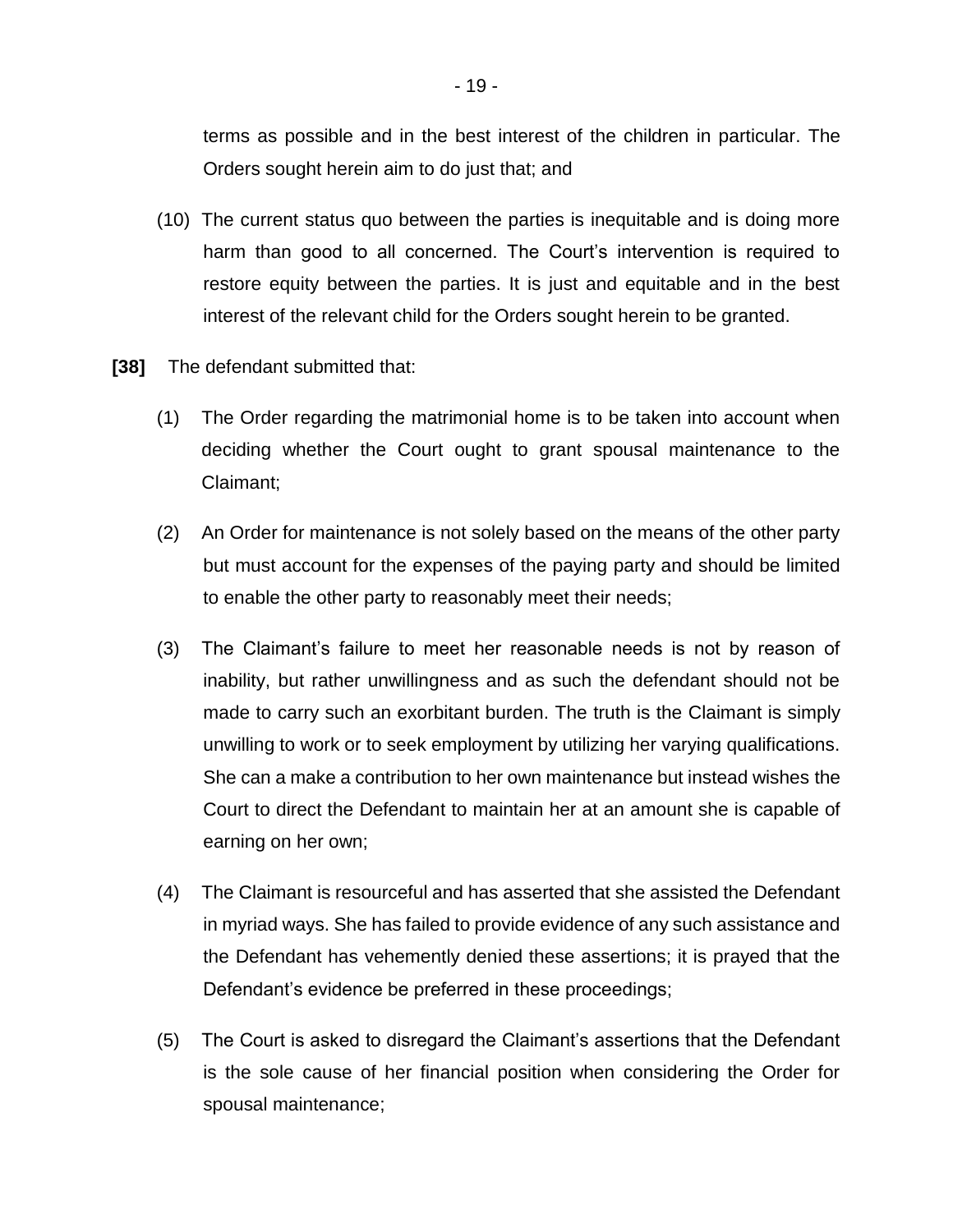terms as possible and in the best interest of the children in particular. The Orders sought herein aim to do just that; and

- (10) The current status quo between the parties is inequitable and is doing more harm than good to all concerned. The Court's intervention is required to restore equity between the parties. It is just and equitable and in the best interest of the relevant child for the Orders sought herein to be granted.
- **[38]** The defendant submitted that:
	- (1) The Order regarding the matrimonial home is to be taken into account when deciding whether the Court ought to grant spousal maintenance to the Claimant;
	- (2) An Order for maintenance is not solely based on the means of the other party but must account for the expenses of the paying party and should be limited to enable the other party to reasonably meet their needs;
	- (3) The Claimant's failure to meet her reasonable needs is not by reason of inability, but rather unwillingness and as such the defendant should not be made to carry such an exorbitant burden. The truth is the Claimant is simply unwilling to work or to seek employment by utilizing her varying qualifications. She can a make a contribution to her own maintenance but instead wishes the Court to direct the Defendant to maintain her at an amount she is capable of earning on her own;
	- (4) The Claimant is resourceful and has asserted that she assisted the Defendant in myriad ways. She has failed to provide evidence of any such assistance and the Defendant has vehemently denied these assertions; it is prayed that the Defendant's evidence be preferred in these proceedings;
	- (5) The Court is asked to disregard the Claimant's assertions that the Defendant is the sole cause of her financial position when considering the Order for spousal maintenance;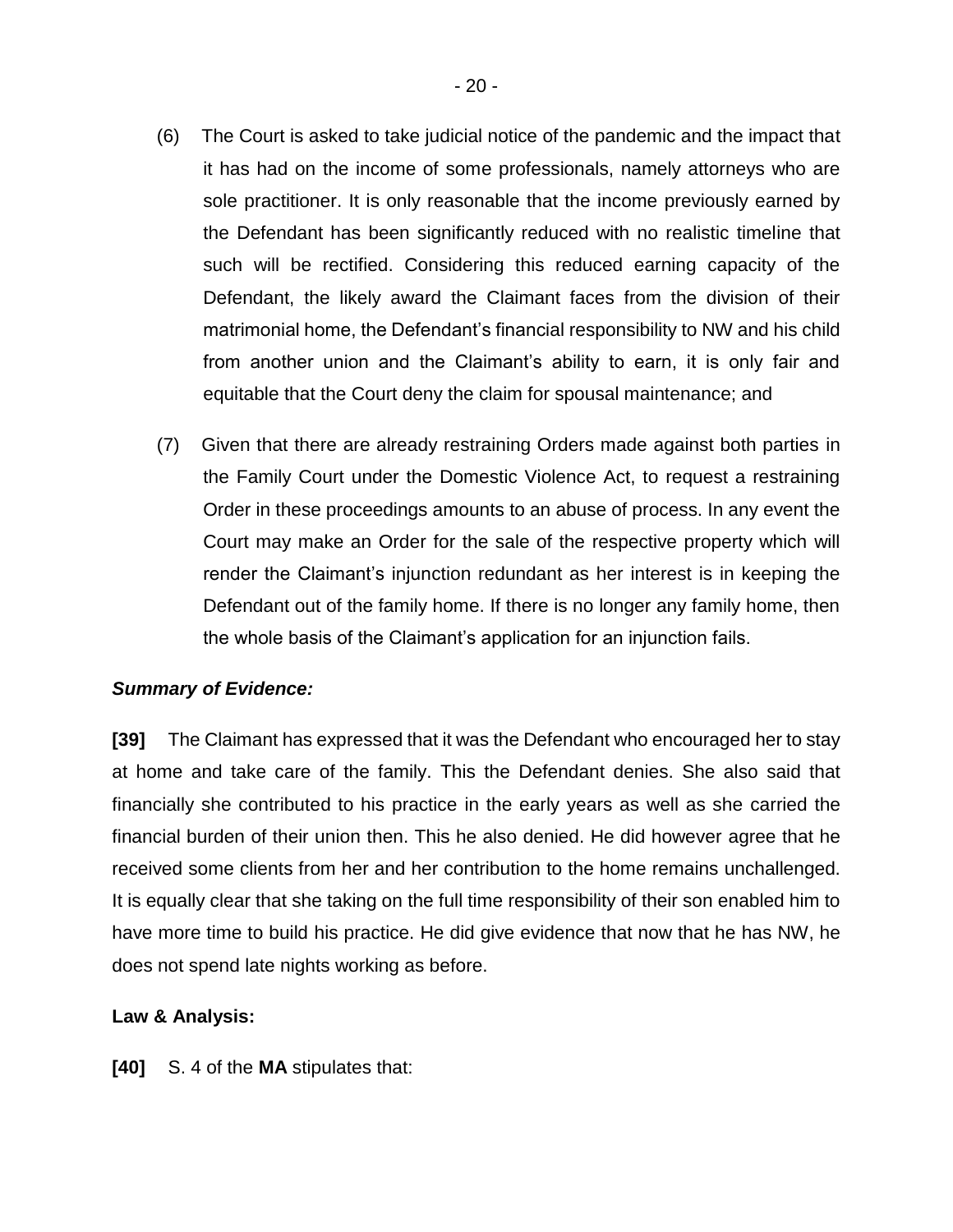- (6) The Court is asked to take judicial notice of the pandemic and the impact that it has had on the income of some professionals, namely attorneys who are sole practitioner. It is only reasonable that the income previously earned by the Defendant has been significantly reduced with no realistic timeline that such will be rectified. Considering this reduced earning capacity of the Defendant, the likely award the Claimant faces from the division of their matrimonial home, the Defendant's financial responsibility to NW and his child from another union and the Claimant's ability to earn, it is only fair and equitable that the Court deny the claim for spousal maintenance; and
- (7) Given that there are already restraining Orders made against both parties in the Family Court under the Domestic Violence Act, to request a restraining Order in these proceedings amounts to an abuse of process. In any event the Court may make an Order for the sale of the respective property which will render the Claimant's injunction redundant as her interest is in keeping the Defendant out of the family home. If there is no longer any family home, then the whole basis of the Claimant's application for an injunction fails.

# *Summary of Evidence:*

**[39]** The Claimant has expressed that it was the Defendant who encouraged her to stay at home and take care of the family. This the Defendant denies. She also said that financially she contributed to his practice in the early years as well as she carried the financial burden of their union then. This he also denied. He did however agree that he received some clients from her and her contribution to the home remains unchallenged. It is equally clear that she taking on the full time responsibility of their son enabled him to have more time to build his practice. He did give evidence that now that he has NW, he does not spend late nights working as before.

# **Law & Analysis:**

**[40]** S. 4 of the **MA** stipulates that: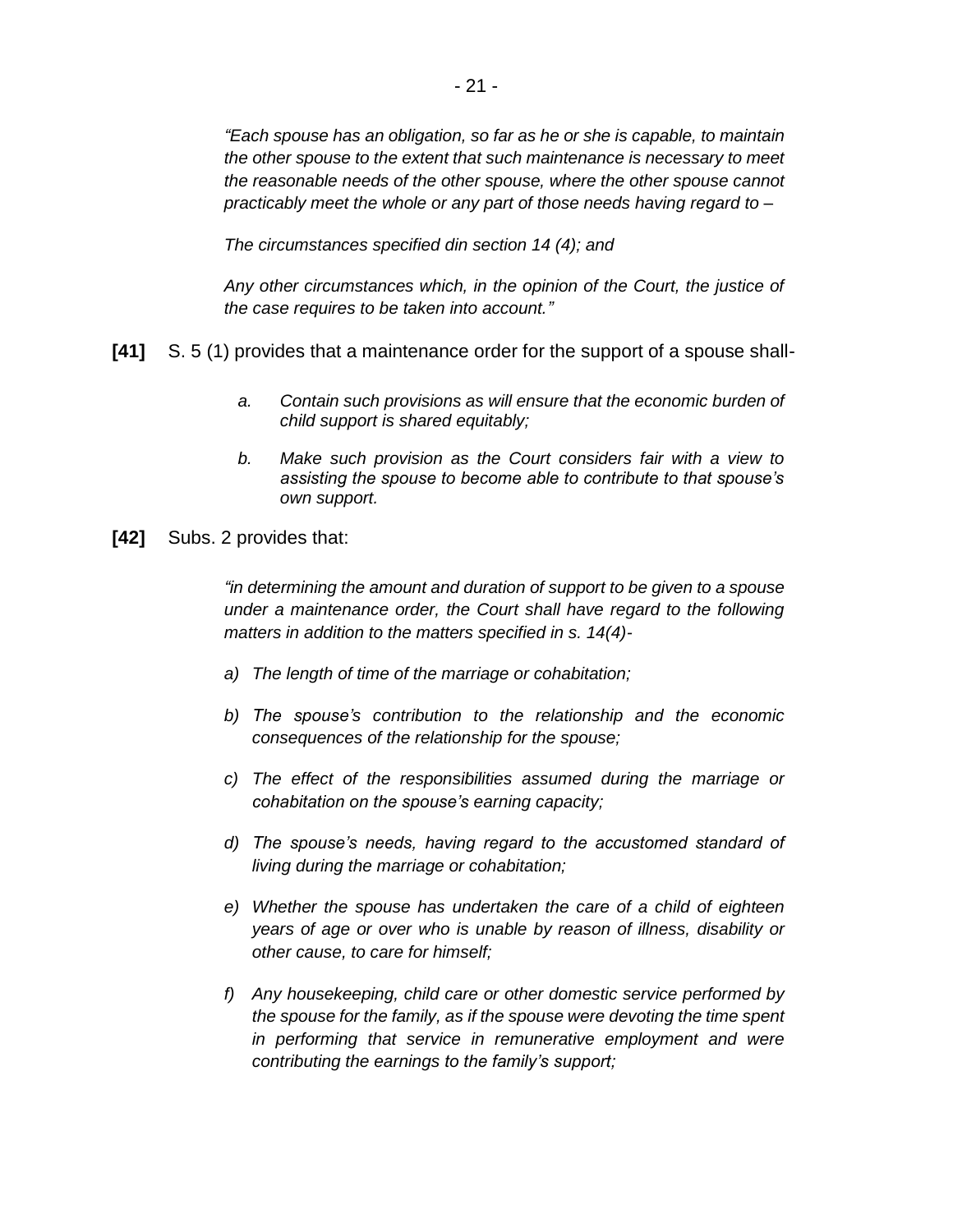*"Each spouse has an obligation, so far as he or she is capable, to maintain the other spouse to the extent that such maintenance is necessary to meet the reasonable needs of the other spouse, where the other spouse cannot practicably meet the whole or any part of those needs having regard to –*

*The circumstances specified din section 14 (4); and*

*Any other circumstances which, in the opinion of the Court, the justice of the case requires to be taken into account."*

- **[41]** S. 5 (1) provides that a maintenance order for the support of a spouse shall
	- *a. Contain such provisions as will ensure that the economic burden of child support is shared equitably;*
	- *b. Make such provision as the Court considers fair with a view to assisting the spouse to become able to contribute to that spouse's own support.*
- **[42]** Subs. 2 provides that:

*"in determining the amount and duration of support to be given to a spouse under a maintenance order, the Court shall have regard to the following matters in addition to the matters specified in s. 14(4)-*

- *a) The length of time of the marriage or cohabitation;*
- *b) The spouse's contribution to the relationship and the economic consequences of the relationship for the spouse;*
- *c) The effect of the responsibilities assumed during the marriage or cohabitation on the spouse's earning capacity;*
- *d) The spouse's needs, having regard to the accustomed standard of living during the marriage or cohabitation;*
- *e) Whether the spouse has undertaken the care of a child of eighteen years of age or over who is unable by reason of illness, disability or other cause, to care for himself;*
- *f) Any housekeeping, child care or other domestic service performed by the spouse for the family, as if the spouse were devoting the time spent in performing that service in remunerative employment and were contributing the earnings to the family's support;*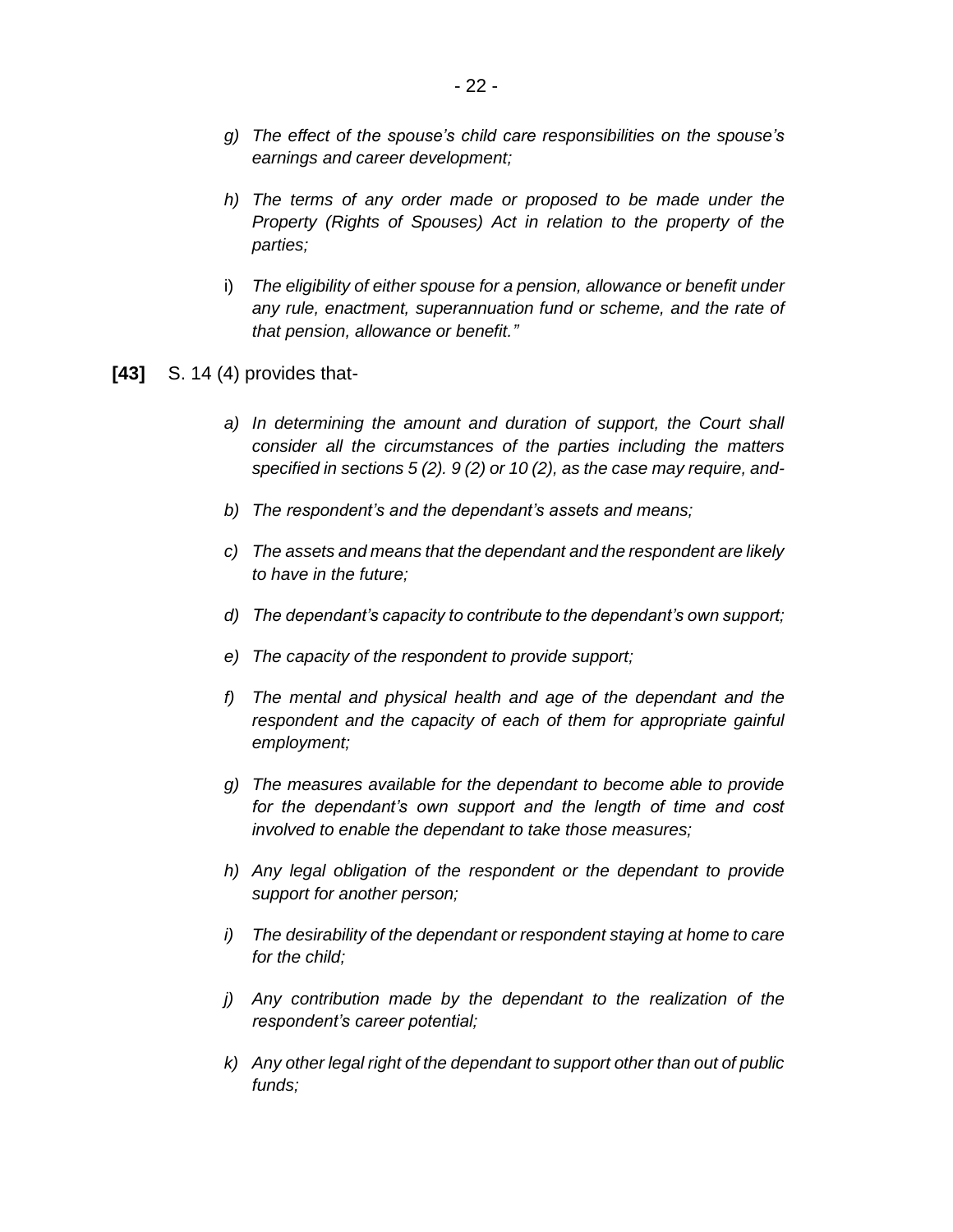- *g) The effect of the spouse's child care responsibilities on the spouse's earnings and career development;*
- *h) The terms of any order made or proposed to be made under the Property (Rights of Spouses) Act in relation to the property of the parties;*
- i) *The eligibility of either spouse for a pension, allowance or benefit under any rule, enactment, superannuation fund or scheme, and the rate of that pension, allowance or benefit."*
- **[43]** S. 14 (4) provides that
	- *a) In determining the amount and duration of support, the Court shall consider all the circumstances of the parties including the matters specified in sections 5 (2). 9 (2) or 10 (2), as the case may require, and-*
	- *b) The respondent's and the dependant's assets and means;*
	- *c) The assets and means that the dependant and the respondent are likely to have in the future;*
	- *d) The dependant's capacity to contribute to the dependant's own support;*
	- *e) The capacity of the respondent to provide support;*
	- *f) The mental and physical health and age of the dependant and the respondent and the capacity of each of them for appropriate gainful employment;*
	- *g) The measures available for the dependant to become able to provide for the dependant's own support and the length of time and cost involved to enable the dependant to take those measures;*
	- *h) Any legal obligation of the respondent or the dependant to provide support for another person;*
	- *i) The desirability of the dependant or respondent staying at home to care for the child;*
	- *j) Any contribution made by the dependant to the realization of the respondent's career potential;*
	- *k) Any other legal right of the dependant to support other than out of public funds;*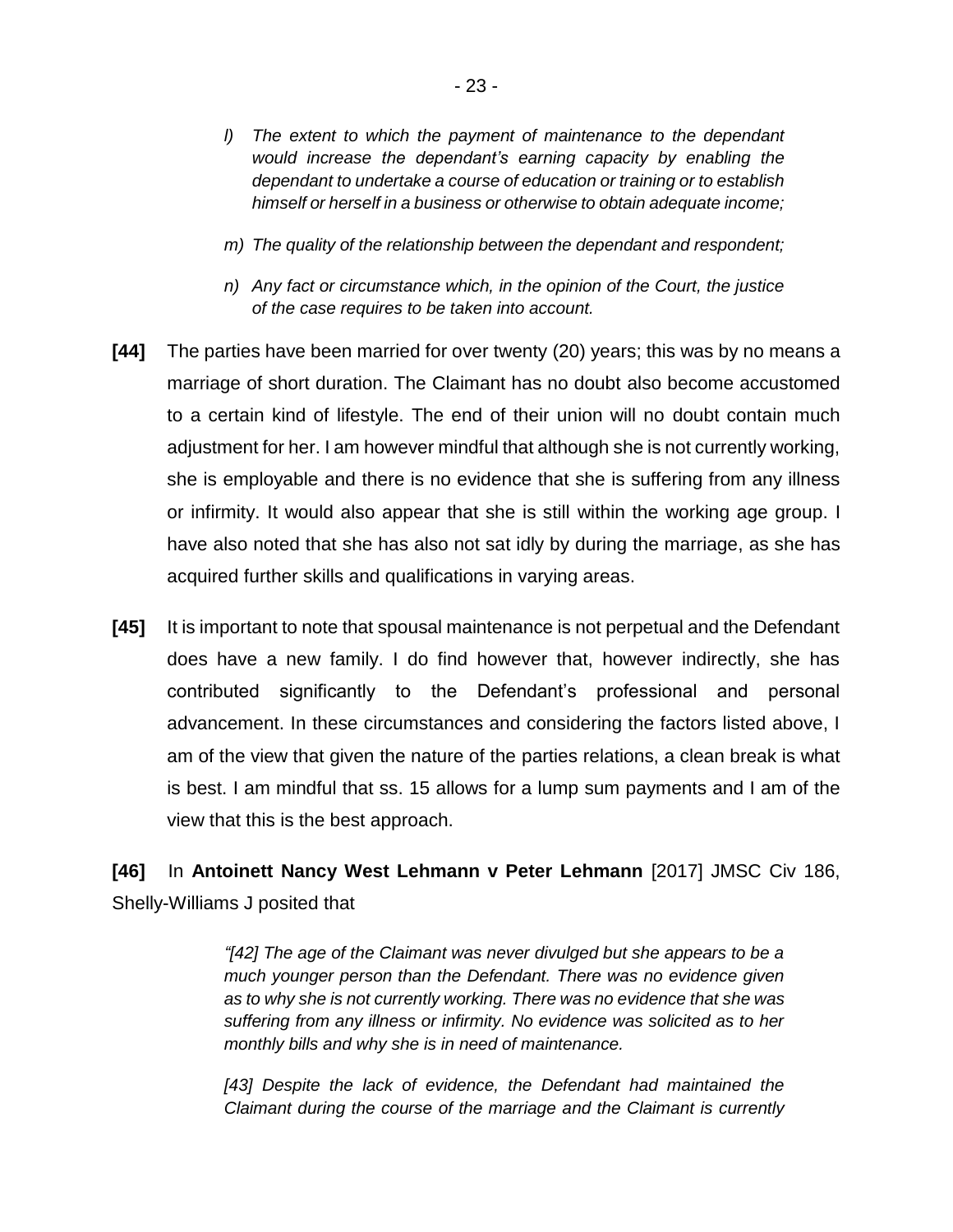- *l) The extent to which the payment of maintenance to the dependant would increase the dependant's earning capacity by enabling the dependant to undertake a course of education or training or to establish himself or herself in a business or otherwise to obtain adequate income;*
- *m) The quality of the relationship between the dependant and respondent;*
- *n) Any fact or circumstance which, in the opinion of the Court, the justice of the case requires to be taken into account.*
- **[44]** The parties have been married for over twenty (20) years; this was by no means a marriage of short duration. The Claimant has no doubt also become accustomed to a certain kind of lifestyle. The end of their union will no doubt contain much adjustment for her. I am however mindful that although she is not currently working, she is employable and there is no evidence that she is suffering from any illness or infirmity. It would also appear that she is still within the working age group. I have also noted that she has also not sat idly by during the marriage, as she has acquired further skills and qualifications in varying areas.
- **[45]** It is important to note that spousal maintenance is not perpetual and the Defendant does have a new family. I do find however that, however indirectly, she has contributed significantly to the Defendant's professional and personal advancement. In these circumstances and considering the factors listed above, I am of the view that given the nature of the parties relations, a clean break is what is best. I am mindful that ss. 15 allows for a lump sum payments and I am of the view that this is the best approach.

**[46]** In **Antoinett Nancy West Lehmann v Peter Lehmann** [2017] JMSC Civ 186, Shelly-Williams J posited that

> *"[42] The age of the Claimant was never divulged but she appears to be a much younger person than the Defendant. There was no evidence given as to why she is not currently working. There was no evidence that she was suffering from any illness or infirmity. No evidence was solicited as to her monthly bills and why she is in need of maintenance.*

> *[43] Despite the lack of evidence, the Defendant had maintained the Claimant during the course of the marriage and the Claimant is currently*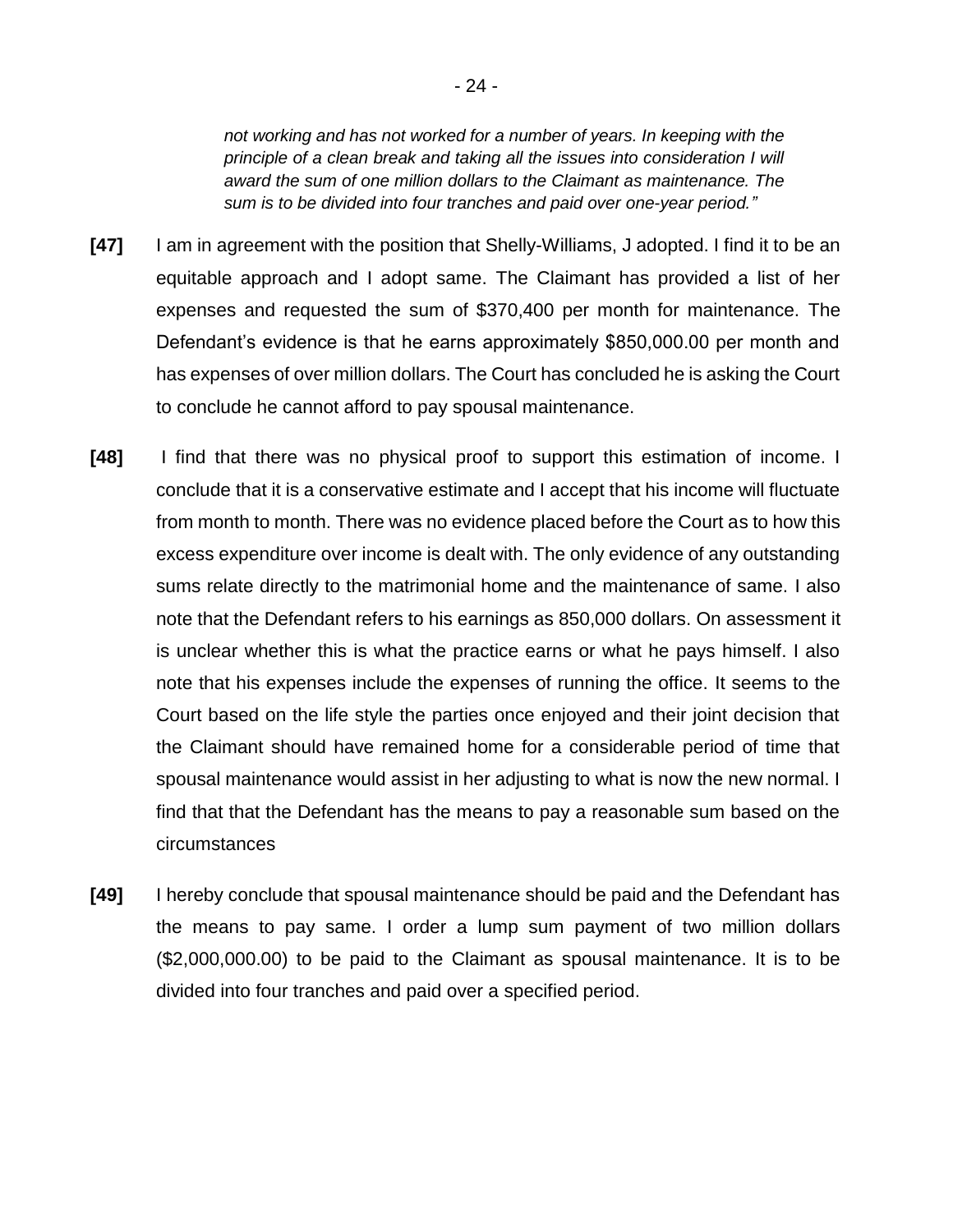*not working and has not worked for a number of years. In keeping with the principle of a clean break and taking all the issues into consideration I will award the sum of one million dollars to the Claimant as maintenance. The sum is to be divided into four tranches and paid over one-year period."*

- **[47]** I am in agreement with the position that Shelly-Williams, J adopted. I find it to be an equitable approach and I adopt same. The Claimant has provided a list of her expenses and requested the sum of \$370,400 per month for maintenance. The Defendant's evidence is that he earns approximately \$850,000.00 per month and has expenses of over million dollars. The Court has concluded he is asking the Court to conclude he cannot afford to pay spousal maintenance.
- **[48]** I find that there was no physical proof to support this estimation of income. I conclude that it is a conservative estimate and I accept that his income will fluctuate from month to month. There was no evidence placed before the Court as to how this excess expenditure over income is dealt with. The only evidence of any outstanding sums relate directly to the matrimonial home and the maintenance of same. I also note that the Defendant refers to his earnings as 850,000 dollars. On assessment it is unclear whether this is what the practice earns or what he pays himself. I also note that his expenses include the expenses of running the office. It seems to the Court based on the life style the parties once enjoyed and their joint decision that the Claimant should have remained home for a considerable period of time that spousal maintenance would assist in her adjusting to what is now the new normal. I find that that the Defendant has the means to pay a reasonable sum based on the circumstances
- **[49]** I hereby conclude that spousal maintenance should be paid and the Defendant has the means to pay same. I order a lump sum payment of two million dollars (\$2,000,000.00) to be paid to the Claimant as spousal maintenance. It is to be divided into four tranches and paid over a specified period.